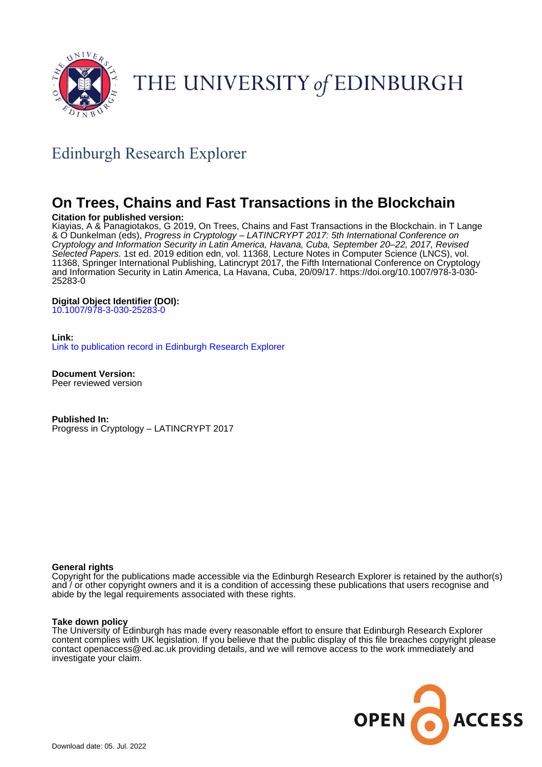

# THE UNIVERSITY of EDINBURGH

## Edinburgh Research Explorer

### **On Trees, Chains and Fast Transactions in the Blockchain**

#### **Citation for published version:**

Kiayias, A & Panagiotakos, G 2019, On Trees, Chains and Fast Transactions in the Blockchain. in T Lange & O Dunkelman (eds), Progress in Cryptology – LATINCRYPT 2017: 5th International Conference on Cryptology and Information Security in Latin America, Havana, Cuba, September 20–22, 2017, Revised Selected Papers. 1st ed. 2019 edition edn, vol. 11368, Lecture Notes in Computer Science (LNCS), vol. 11368, Springer International Publishing, Latincrypt 2017, the Fifth International Conference on Cryptology and Information Security in Latin America, La Havana, Cuba, 20/09/17. [https://doi.org/10.1007/978-3-030-](https://doi.org/10.1007/978-3-030-25283-0) [25283-0](https://doi.org/10.1007/978-3-030-25283-0)

#### **Digital Object Identifier (DOI):**

[10.1007/978-3-030-25283-0](https://doi.org/10.1007/978-3-030-25283-0)

**Link:** [Link to publication record in Edinburgh Research Explorer](https://www.research.ed.ac.uk/en/publications/13d808c8-212c-4a56-a911-14fc1f7efcc1)

**Document Version:** Peer reviewed version

**Published In:** Progress in Cryptology – LATINCRYPT 2017

#### **General rights**

Copyright for the publications made accessible via the Edinburgh Research Explorer is retained by the author(s) and / or other copyright owners and it is a condition of accessing these publications that users recognise and abide by the legal requirements associated with these rights.

#### **Take down policy**

The University of Edinburgh has made every reasonable effort to ensure that Edinburgh Research Explorer content complies with UK legislation. If you believe that the public display of this file breaches copyright please contact openaccess@ed.ac.uk providing details, and we will remove access to the work immediately and investigate your claim.

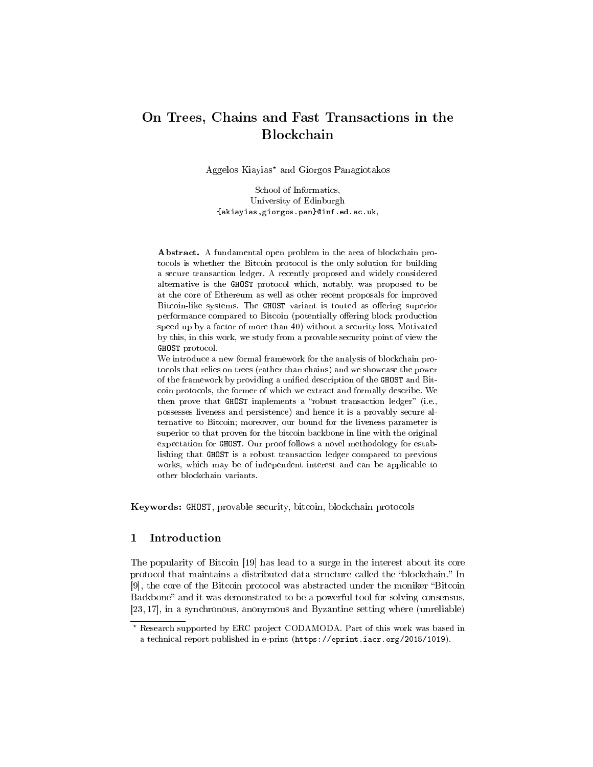### On Trees, Chains and Fast Transactions in the Blockchain

Aggelos Kiayias? and Giorgos Panagiotakos

School of Informatics, University of Edinburgh {akiayias,giorgos.pan}@inf.ed.ac.uk,

Abstract. A fundamental open problem in the area of blockchain protocols is whether the Bitcoin protocol is the only solution for building a secure transaction ledger. A recently proposed and widely considered alternative is the GHOST protocol which, notably, was proposed to be at the core of Ethereum as well as other recent proposals for improved Bitcoin-like systems. The GHOST variant is touted as offering superior performance compared to Bitcoin (potentially offering block production speed up by a factor of more than 40) without a security loss. Motivated by this, in this work, we study from a provable security point of view the GHOST protocol.

We introduce a new formal framework for the analysis of blockchain protocols that relies on trees (rather than chains) and we showcase the power of the framework by providing a unified description of the GHOST and Bitcoin protocols, the former of which we extract and formally describe. We then prove that GHOST implements a "robust transaction ledger" (i.e., possesses liveness and persistence) and hence it is a provably secure alternative to Bitcoin; moreover, our bound for the liveness parameter is superior to that proven for the bitcoin backbone in line with the original expectation for GHOST. Our proof follows a novel methodology for establishing that GHOST is a robust transaction ledger compared to previous works, which may be of independent interest and can be applicable to other blockchain variants.

Keywords: GHOST, provable security, bitcoin, blockchain protocols

#### 1 Introduction

The popularity of Bitcoin [19] has lead to a surge in the interest about its core protocol that maintains a distributed data structure called the "blockchain." In [9], the core of the Bitcoin protocol was abstracted under the moniker "Bitcoin Backbone" and it was demonstrated to be a powerful tool for solving consensus, [23, 17], in a synchronous, anonymous and Byzantine setting where (unreliable)

<sup>?</sup> Research supported by ERC project CODAMODA. Part of this work was based in a technical report published in e-print (https://eprint.iacr.org/2015/1019).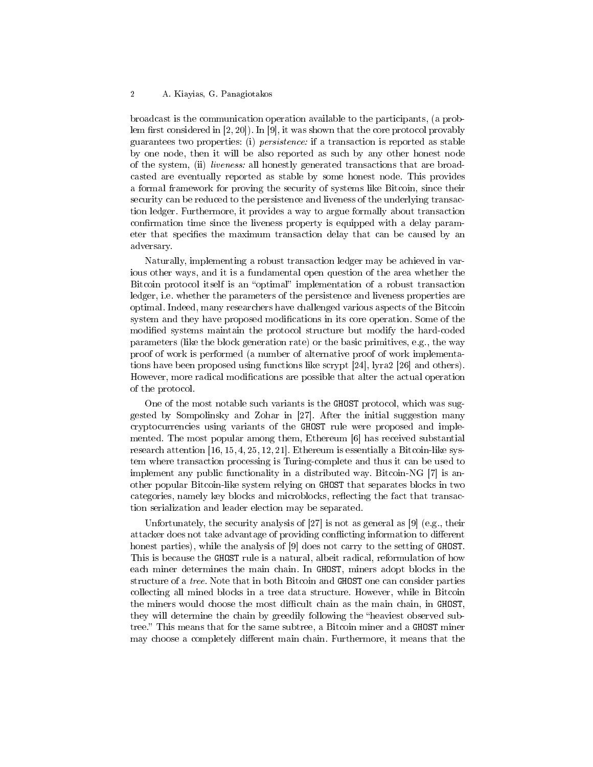broadcast is the communication operation available to the participants, (a problem first considered in  $[2, 20]$ ). In [9], it was shown that the core protocol provably guarantees two properties: (i) persistence: if a transaction is reported as stable by one node, then it will be also reported as such by any other honest node of the system, (ii) liveness: all honestly generated transactions that are broadcasted are eventually reported as stable by some honest node. This provides a formal framework for proving the security of systems like Bitcoin, since their security can be reduced to the persistence and liveness of the underlying transaction ledger. Furthermore, it provides a way to argue formally about transaction confirmation time since the liveness property is equipped with a delay parameter that specifies the maximum transaction delay that can be caused by an adversary.

Naturally, implementing a robust transaction ledger may be achieved in various other ways, and it is a fundamental open question of the area whether the Bitcoin protocol itself is an "optimal" implementation of a robust transaction ledger, i.e. whether the parameters of the persistence and liveness properties are optimal. Indeed, many researchers have challenged various aspects of the Bitcoin system and they have proposed modifications in its core operation. Some of the modified systems maintain the protocol structure but modify the hard-coded parameters (like the block generation rate) or the basic primitives, e.g., the way proof of work is performed (a number of alternative proof of work implementations have been proposed using functions like scrypt [24], lyra2 [26] and others). However, more radical modifications are possible that alter the actual operation of the protocol.

One of the most notable such variants is the GHOST protocol, which was suggested by Sompolinsky and Zohar in [27]. After the initial suggestion many cryptocurrencies using variants of the GHOST rule were proposed and implemented. The most popular among them, Ethereum [6] has received substantial research attention [16, 15, 4, 25, 12, 21]. Ethereum is essentially a Bitcoin-like system where transaction processing is Turing-complete and thus it can be used to implement any public functionality in a distributed way. Bitcoin-NG [7] is another popular Bitcoin-like system relying on GHOST that separates blocks in two categories, namely key blocks and microblocks, reflecting the fact that transaction serialization and leader election may be separated.

Unfortunately, the security analysis of [27] is not as general as [9] (e.g., their attacker does not take advantage of providing conflicting information to different honest parties), while the analysis of [9] does not carry to the setting of **GHOST**. This is because the GHOST rule is a natural, albeit radical, reformulation of how each miner determines the main chain. In GHOST, miners adopt blocks in the structure of a tree. Note that in both Bitcoin and GHOST one can consider parties collecting all mined blocks in a tree data structure. However, while in Bitcoin the miners would choose the most difficult chain as the main chain, in GHOST, they will determine the chain by greedily following the "heaviest observed subtree." This means that for the same subtree, a Bitcoin miner and a GHOST miner may choose a completely different main chain. Furthermore, it means that the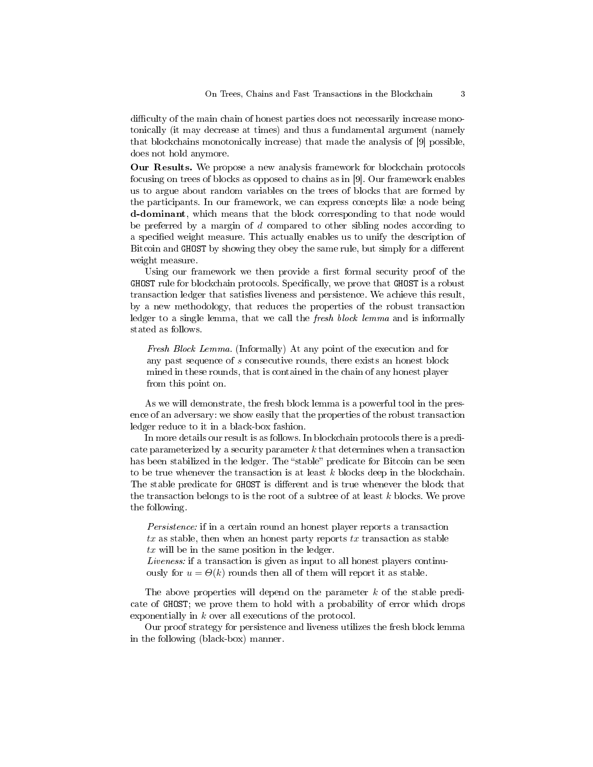difficulty of the main chain of honest parties does not necessarily increase monotonically (it may decrease at times) and thus a fundamental argument (namely that blockchains monotonically increase) that made the analysis of [9] possible, does not hold anymore.

Our Results. We propose a new analysis framework for blockchain protocols focusing on trees of blocks as opposed to chains as in [9]. Our framework enables us to argue about random variables on the trees of blocks that are formed by the participants. In our framework, we can express concepts like a node being d-dominant, which means that the block corresponding to that node would be preferred by a margin of  $d$  compared to other sibling nodes according to a specified weight measure. This actually enables us to unify the description of Bitcoin and GHOST by showing they obey the same rule, but simply for a different weight measure.

Using our framework we then provide a first formal security proof of the GHOST rule for blockchain protocols. Specifically, we prove that GHOST is a robust transaction ledger that satisfies liveness and persistence. We achieve this result, by a new methodology, that reduces the properties of the robust transaction ledger to a single lemma, that we call the fresh block lemma and is informally stated as follows.

Fresh Block Lemma. (Informally) At any point of the execution and for any past sequence of s consecutive rounds, there exists an honest block mined in these rounds, that is contained in the chain of any honest player from this point on.

As we will demonstrate, the fresh block lemma is a powerful tool in the presence of an adversary: we show easily that the properties of the robust transaction ledger reduce to it in a black-box fashion.

In more details our result is as follows. In blockchain protocols there is a predicate parameterized by a security parameter  $k$  that determines when a transaction has been stabilized in the ledger. The "stable" predicate for Bitcoin can be seen to be true whenever the transaction is at least  $k$  blocks deep in the blockchain. The stable predicate for GHOST is different and is true whenever the block that the transaction belongs to is the root of a subtree of at least  $k$  blocks. We prove the following.

Persistence: if in a certain round an honest player reports a transaction  $tx$  as stable, then when an honest party reports  $tx$  transaction as stable  $tx$  will be in the same position in the ledger.

Liveness: if a transaction is given as input to all honest players continuously for  $u = \Theta(k)$  rounds then all of them will report it as stable.

The above properties will depend on the parameter k of the stable predicate of GHOST; we prove them to hold with a probability of error which drops exponentially in k over all executions of the protocol.

Our proof strategy for persistence and liveness utilizes the fresh block lemma in the following (black-box) manner.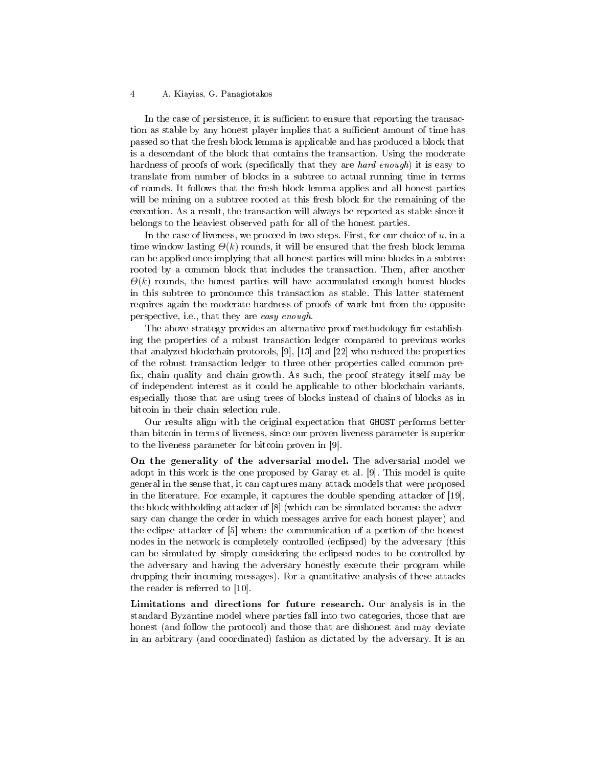In the case of persistence, it is sufficient to ensure that reporting the transaction as stable by any honest player implies that a sufficient amount of time has passed so that the fresh block lemma is applicable and has produced a block that is a descendant of the block that contains the transaction. Using the moderate hardness of proofs of work (specifically that they are hard enough) it is easy to translate from number of blocks in a subtree to actual running time in terms of rounds. It follows that the fresh block lemma applies and all honest parties will be mining on a subtree rooted at this fresh block for the remaining of the execution. As a result, the transaction will always be reported as stable since it belongs to the heaviest observed path for all of the honest parties.

In the case of liveness, we proceed in two steps. First, for our choice of  $u$ , in a time window lasting  $\Theta(k)$  rounds, it will be ensured that the fresh block lemma can be applied once implying that all honest parties will mine blocks in a subtree rooted by a common block that includes the transaction. Then, after another  $\Theta(k)$  rounds, the honest parties will have accumulated enough honest blocks in this subtree to pronounce this transaction as stable. This latter statement requires again the moderate hardness of proofs of work but from the opposite perspective, i.e., that they are easy enough.

The above strategy provides an alternative proof methodology for establishing the properties of a robust transaction ledger compared to previous works that analyzed blockchain protocols, [9], [13] and [22] who reduced the properties of the robust transaction ledger to three other properties called common pre x, chain quality and chain growth. As such, the proof strategy itself may be of independent interest as it could be applicable to other blockchain variants, especially those that are using trees of blocks instead of chains of blocks as in bitcoin in their chain selection rule.

Our results align with the original expectation that GHOST performs better than bitcoin in terms of liveness, since our proven liveness parameter is superior to the liveness parameter for bitcoin proven in [9].

On the generality of the adversarial model. The adversarial model we adopt in this work is the one proposed by Garay et al. [9]. This model is quite general in the sense that, it can captures many attack models that were proposed in the literature. For example, it captures the double spending attacker of [19], the block withholding attacker of [8] (which can be simulated because the adversary can change the order in which messages arrive for each honest player) and the eclipse attacker of [5] where the communication of a portion of the honest nodes in the network is completely controlled (eclipsed) by the adversary (this can be simulated by simply considering the eclipsed nodes to be controlled by the adversary and having the adversary honestly execute their program while dropping their incoming messages). For a quantitative analysis of these attacks the reader is referred to [10].

Limitations and directions for future research. Our analysis is in the standard Byzantine model where parties fall into two categories, those that are honest (and follow the protocol) and those that are dishonest and may deviate in an arbitrary (and coordinated) fashion as dictated by the adversary. It is an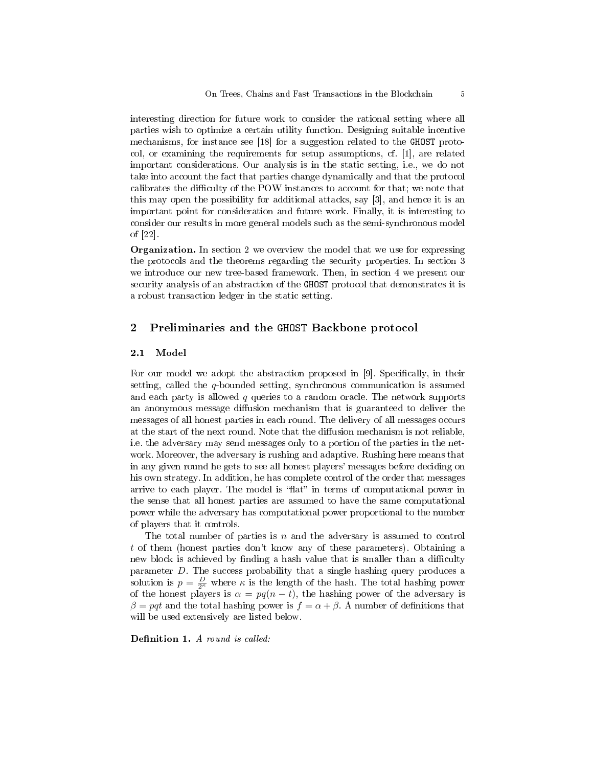interesting direction for future work to consider the rational setting where all parties wish to optimize a certain utility function. Designing suitable incentive mechanisms, for instance see [18] for a suggestion related to the GHOST protocol, or examining the requirements for setup assumptions, cf. [1], are related important considerations. Our analysis is in the static setting, i.e., we do not take into account the fact that parties change dynamically and that the protocol calibrates the difficulty of the POW instances to account for that; we note that this may open the possibility for additional attacks, say [3], and hence it is an important point for consideration and future work. Finally, it is interesting to consider our results in more general models such as the semi-synchronous model of [22].

Organization. In section 2 we overview the model that we use for expressing the protocols and the theorems regarding the security properties. In section 3 we introduce our new tree-based framework. Then, in section 4 we present our security analysis of an abstraction of the GHOST protocol that demonstrates it is a robust transaction ledger in the static setting.

#### 2 Preliminaries and the GHOST Backbone protocol

#### 2.1 Model

For our model we adopt the abstraction proposed in [9]. Specifically, in their setting, called the q-bounded setting, synchronous communication is assumed and each party is allowed  $q$  queries to a random oracle. The network supports an anonymous message diffusion mechanism that is guaranteed to deliver the messages of all honest parties in each round. The delivery of all messages occurs at the start of the next round. Note that the diffusion mechanism is not reliable, i.e. the adversary may send messages only to a portion of the parties in the network. Moreover, the adversary is rushing and adaptive. Rushing here means that in any given round he gets to see all honest players' messages before deciding on his own strategy. In addition, he has complete control of the order that messages arrive to each player. The model is "flat" in terms of computational power in the sense that all honest parties are assumed to have the same computational power while the adversary has computational power proportional to the number of players that it controls.

The total number of parties is n and the adversary is assumed to control t of them (honest parties don't know any of these parameters). Obtaining a new block is achieved by finding a hash value that is smaller than a difficulty parameter D. The success probability that a single hashing query produces a solution is  $p = \frac{D}{2^{\kappa}}$  where  $\kappa$  is the length of the hash. The total hashing power of the honest players is  $\alpha = pq(n-t)$ , the hashing power of the adversary is  $\beta = pqt$  and the total hashing power is  $f = \alpha + \beta$ . A number of definitions that will be used extensively are listed below.

Definition 1. A round is called: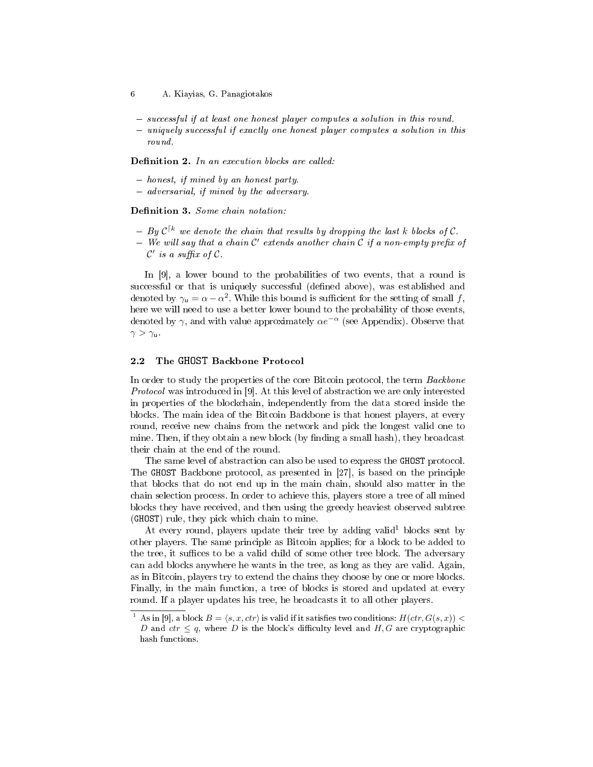- 6 A. Kiayias, G. Panagiotakos
- $s_1 -$  successful if at least one honest player computes a solution in this round.
- $-$  uniquely successful if exactly one honest player computes a solution in this round.

Definition 2. In an execution blocks are called:

- $h$  honest, if mined by an honest party.
- adversarial, if mined by the adversary.

Definition 3. Some chain notation:

- $A-By C^{\lceil k\!$  we denote the chain that results by dropping the last k blocks of C.
- $-$  We will say that a chain  $\mathcal{C}'$  extends another chain  $\mathcal{C}$  if a non-empty prefix of  $\mathcal{C}'$  is a suffix of  $\mathcal{C}$ .

In [9], a lower bound to the probabilities of two events, that a round is successful or that is uniquely successful (defined above), was established and denoted by  $\gamma_{\sf u}=\alpha-\alpha^2$ . While this bound is sufficient for the setting of small  $f,$ here we will need to use a better lower bound to the probability of those events, denoted by  $\gamma$ , and with value approximately  $\alpha e^{-\alpha}$  (see Appendix). Observe that  $\gamma > \gamma$ u.

#### 2.2 The GHOST Backbone Protocol

In order to study the properties of the core Bitcoin protocol, the term Backbone Protocol was introduced in [9]. At this level of abstraction we are only interested in properties of the blockchain, independently from the data stored inside the blocks. The main idea of the Bitcoin Backbone is that honest players, at every round, receive new chains from the network and pick the longest valid one to mine. Then, if they obtain a new block (by finding a small hash), they broadcast their chain at the end of the round.

The same level of abstraction can also be used to express the GHOST protocol. The GHOST Backbone protocol, as presented in [27], is based on the principle that blocks that do not end up in the main chain, should also matter in the chain selection process. In order to achieve this, players store a tree of all mined blocks they have received, and then using the greedy heaviest observed subtree (GHOST) rule, they pick which chain to mine.

At every round, players update their tree by adding valid<sup>1</sup> blocks sent by other players. The same principle as Bitcoin applies; for a block to be added to the tree, it suffices to be a valid child of some other tree block. The adversary can add blocks anywhere he wants in the tree, as long as they are valid. Again, as in Bitcoin, players try to extend the chains they choose by one or more blocks. Finally, in the main function, a tree of blocks is stored and updated at every round. If a player updates his tree, he broadcasts it to all other players.

<sup>&</sup>lt;sup>1</sup> As in [9], a block  $B = \langle s, x, \text{ctr} \rangle$  is valid if it satisfies two conditions:  $H(\text{ctr}, G(s, x))$  < D and  $ctr \leq q$ , where D is the block's difficulty level and H, G are cryptographic hash functions.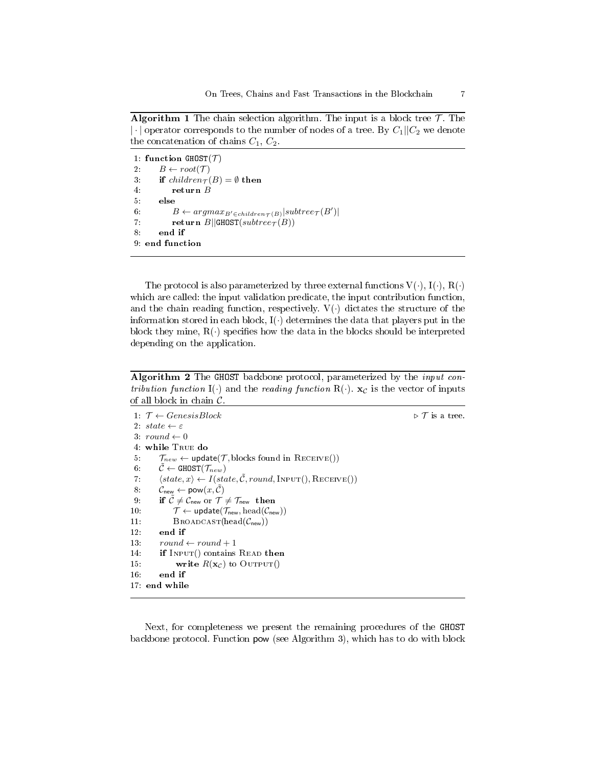**Algorithm 1** The chain selection algorithm. The input is a block tree  $\mathcal{T}$ . The  $|\cdot|$  operator corresponds to the number of nodes of a tree. By  $C_1||C_2$  we denote the concatenation of chains  $C_1, C_2$ .

1: function  $GHOST(\mathcal{T})$ 2:  $B \leftarrow root(\mathcal{T})$ 3: if  $children_{\mathcal{T}}(B) = \emptyset$  then 4: return B 5: else 6:  $B \leftarrow argmax_{B' \in children_{\mathcal{T}}(B)} | subtree_{\mathcal{T}}(B')|$ 7: return  $B||\text{GHOST}(subtree_{\mathcal{T}}(B))$ 8: end if 9: end function

The protocol is also parameterized by three external functions  $V(\cdot)$ ,  $I(\cdot)$ ,  $R(\cdot)$ which are called: the input validation predicate, the input contribution function, and the chain reading function, respectively.  $V(\cdot)$  dictates the structure of the information stored in each block,  $I(\cdot)$  determines the data that players put in the block they mine,  $R(\cdot)$  specifies how the data in the blocks should be interpreted depending on the application.

Algorithm 2 The GHOST backbone protocol, parameterized by the input contribution function I( $\cdot$ ) and the reading function R( $\cdot$ ).  $\mathbf{x}_{\mathcal{C}}$  is the vector of inputs of all block in chain C.

```
1: \mathcal{T} \leftarrow GenesisBlock \triangleright \mathcal{T} is a tree.
 2: state \leftarrow \varepsilon3: round \leftarrow 04: while True do
 5: \mathcal{T}_{new} \leftarrow \text{update}(\mathcal{T}, \text{blocks found in RECEIVE}())6: \tilde{C} \leftarrow \text{GHOST}(\mathcal{T}_{new})7: \langle state, x \rangle \leftarrow I(state, \mathcal{C}, round, \text{INPUT}(), \text{RECEIVE}()8: \mathcal{C}_{\text{new}} \leftarrow \text{pow}(x, \mathcal{C})9: if \tilde{C} \neq C_{\text{new}} or \mathcal{T} \neq \mathcal{T}_{\text{new}} then
10: \mathcal{T} \leftarrow \text{update}(\mathcal{T}_{\text{new}}, \text{head}(\mathcal{C}_{\text{new}}))11: \qquad \qquad \text{BROADCAST}(\text{head}(\mathcal{C}_{\text{new}}))12: end if
13: round \leftarrow round + 114: if INPUT() contains READ then
15: write R(\mathbf{x}_{\mathcal{C}}) to \text{Output}()16: end if
17: end while
```
Next, for completeness we present the remaining procedures of the GHOST backbone protocol. Function pow (see Algorithm 3), which has to do with block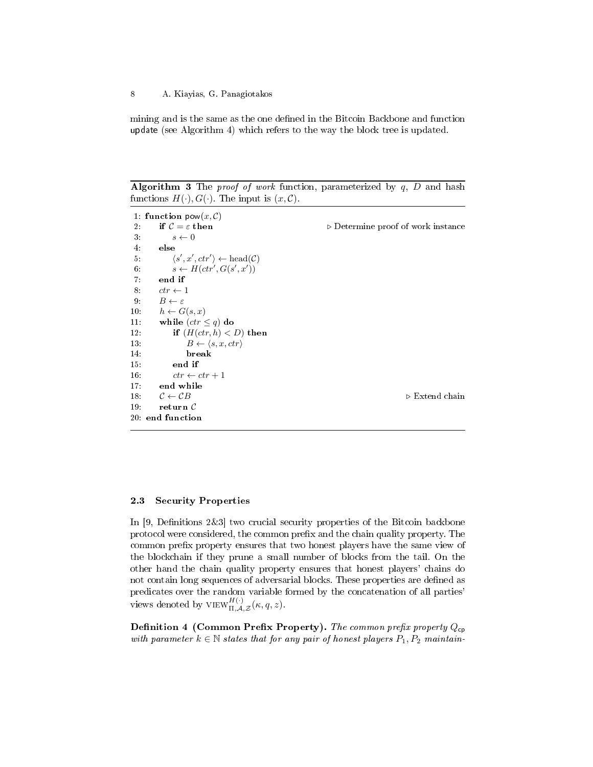mining and is the same as the one defined in the Bitcoin Backbone and function update (see Algorithm 4) which refers to the way the block tree is updated.

Algorithm 3 The proof of work function, parameterized by  $q$ ,  $D$  and hash functions  $H(\cdot), G(\cdot)$ . The input is  $(x, C)$ .

```
1: function pow(x, C)2: if C = \varepsilon then \triangleright Determine proof of work instance
3: s \leftarrow 04: else
 5: \langle s', x', \text{ctr}' \rangle \leftarrow \text{head}(\mathcal{C})6: s \leftarrow H(\text{ctr}', G(s', x'))7: end if
8: ctr \leftarrow 19: B \leftarrow \varepsilon10: h \leftarrow G(s,x)11: while (ctr \leq q) do
12: if (H(ctr, h) < D) then
13: B \leftarrow \langle s, x, \text{ctr} \rangle14: break
15: end if
16: ctr \leftarrow ctr + 117: end while
18: C \leftarrow CB . Extend chain
19: return C20: end function
```
#### 2.3 Security Properties

In [9, Definitions  $2\&3$ ] two crucial security properties of the Bitcoin backbone protocol were considered, the common prefix and the chain quality property. The common prefix property ensures that two honest players have the same view of the blockchain if they prune a small number of blocks from the tail. On the other hand the chain quality property ensures that honest players' chains do not contain long sequences of adversarial blocks. These properties are defined as predicates over the random variable formed by the concatenation of all parties' views denoted by  $\operatorname{VIEW}^{H(\cdot)}_{\Pi-A}$  $\prod_{\Pi,\mathcal{A},\mathcal{Z}}^{H(\cdot)}(\kappa,q,z).$ 

Definition 4 (Common Prefix Property). The common prefix property  $Q_{cp}$ with parameter  $k \in \mathbb{N}$  states that for any pair of honest players  $P_1, P_2$  maintain-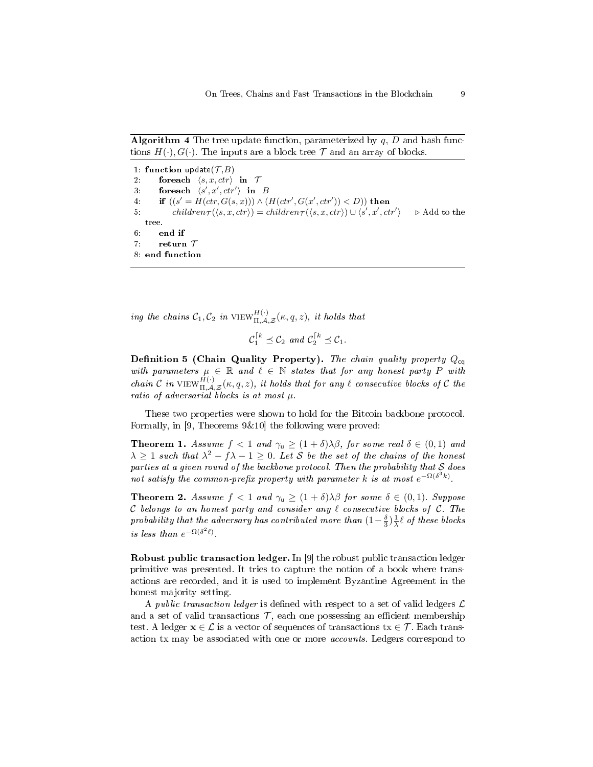**Algorithm 4** The tree update function, parameterized by  $q$ , D and hash functions  $H(\cdot), G(\cdot)$ . The inputs are a block tree  $\mathcal T$  and an array of blocks.

1: function update $(\mathcal{T},B)$ 2: for each  $\langle s, x, ctr \rangle$  in  $\mathcal T$ 3: for each  $\langle s', x', ctr' \rangle$  in B 4: if  $((s' = H(ctr, G(s, x))) \wedge (H(ctr', G(x', ctr')) < D))$  then 5: children $\tau(\langle s, x, ctr \rangle) = \text{children}_{\mathcal{T}}(\langle s, x, ctr \rangle) \cup \langle s', x', ctr' \rangle$  $\triangleright$  Add to the tree. 6: end if 7: return  $\mathcal T$ 8: end function

ing the chains  $C_1, C_2$  in  $\mathrm{VIEW}_{\Pi,A}^{H(\cdot)}$  $H^{(1)}_{\Pi,\mathcal{A},\mathcal{Z}}(\kappa,q,z)$ , it holds that

$$
\mathcal{C}_1^{\lceil k} \preceq \mathcal{C}_2 \text{ and } \mathcal{C}_2^{\lceil k} \preceq \mathcal{C}_1.
$$

Definition 5 (Chain Quality Property). The chain quality property  $Q_{cq}$ with parameters  $\mu \in \mathbb{R}$  and  $\ell \in \mathbb{N}$  states that for any honest party P with *chain*  $\mathcal{C}$  *in* VIEW $_{\Pi A}^{H(\cdot)}$  $H^{(1)}_{\Pi,\mathcal{A},\mathcal{Z}}(\kappa,q,z)$ , it holds that for any  $\ell$  consecutive blocks of  $\mathcal C$  the ratio of adversarial blocks is at most  $\mu$ .

These two properties were shown to hold for the Bitcoin backbone protocol. Formally, in [9, Theorems 9&10] the following were proved:

**Theorem 1.** Assume  $f < 1$  and  $\gamma_u \geq (1 + \delta)\lambda\beta$ , for some real  $\delta \in (0, 1)$  and  $\lambda \geq 1$  such that  $\lambda^2 - f\lambda - 1 \geq 0$ . Let S be the set of the chains of the honest parties at a given round of the backbone protocol. Then the probability that  $S$  does not satisfy the common-prefix property with parameter k is at most  $e^{-\Omega(\delta^3 k)}$ .

**Theorem 2.** Assume  $f < 1$  and  $\gamma_u \geq (1 + \delta)\lambda\beta$  for some  $\delta \in (0, 1)$ . Suppose  $C$  belongs to an honest party and consider any  $\ell$  consecutive blocks of  $C$ . The probability that the adversary has contributed more than  $(1-\frac{\delta}{3})\frac{1}{\lambda}\ell$  of these blocks is less than  $e^{-\Omega(\delta^2\ell)}$ .

Robust public transaction ledger. In [9] the robust public transaction ledger primitive was presented. It tries to capture the notion of a book where transactions are recorded, and it is used to implement Byzantine Agreement in the honest majority setting.

A public transaction ledger is defined with respect to a set of valid ledgers  $\mathcal L$ and a set of valid transactions  $\mathcal{T}$ , each one possessing an efficient membership test. A ledger  $\mathbf{x} \in \mathcal{L}$  is a vector of sequences of transactions  $\mathbf{tx} \in \mathcal{T}$ . Each transaction tx may be associated with one or more accounts. Ledgers correspond to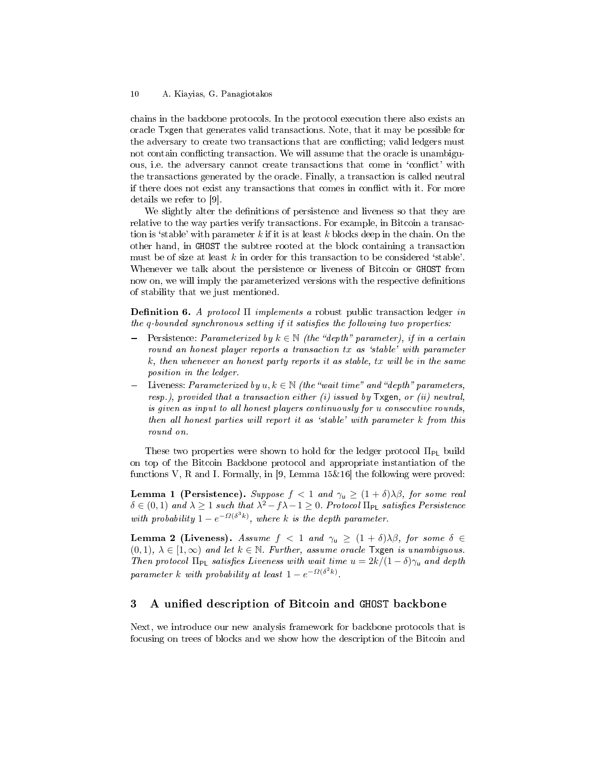chains in the backbone protocols. In the protocol execution there also exists an oracle Txgen that generates valid transactions. Note, that it may be possible for the adversary to create two transactions that are conflicting; valid ledgers must not contain conflicting transaction. We will assume that the oracle is unambiguous, i.e. the adversary cannot create transactions that come in 'conflict' with the transactions generated by the oracle. Finally, a transaction is called neutral if there does not exist any transactions that comes in conflict with it. For more details we refer to [9].

We slightly alter the definitions of persistence and liveness so that they are relative to the way parties verify transactions. For example, in Bitcoin a transaction is 'stable' with parameter  $k$  if it is at least  $k$  blocks deep in the chain. On the other hand, in GHOST the subtree rooted at the block containing a transaction must be of size at least  $k$  in order for this transaction to be considered 'stable'. Whenever we talk about the persistence or liveness of Bitcoin or GHOST from now on, we will imply the parameterized versions with the respective definitions of stability that we just mentioned.

**Definition 6.** A protocol  $\Pi$  implements a robust public transaction ledger in the  $q$ -bounded synchronous setting if it satisfies the following two properties:

- Persistence: Parameterized by  $k \in \mathbb{N}$  (the "depth" parameter), if in a certain round an honest player reports a transaction tx as 'stable' with parameter  $k$ , then whenever an honest party reports it as stable,  $tx$  will be in the same position in the ledger.
- Liveness: Parameterized by  $u, k \in \mathbb{N}$  (the "wait time" and "depth" parameters, resp.), provided that a transaction either (i) issued by Txgen, or (ii) neutral, is given as input to all honest players continuously for u consecutive rounds, then all honest parties will report it as `stable' with parameter k from this round on.

These two properties were shown to hold for the ledger protocol  $\Pi_{PL}$  build on top of the Bitcoin Backbone protocol and appropriate instantiation of the functions V, R and I. Formally, in [9, Lemma 15&16] the following were proved:

**Lemma 1 (Persistence).** Suppose  $f < 1$  and  $\gamma_u \geq (1 + \delta)\lambda\beta$ , for some real  $\delta \in (0,1)$  and  $\lambda \geq 1$  such that  $\lambda^2 - f\lambda - 1 \geq 0$ . Protocol  $\Pi_{\mathsf{PL}}$  satisfies Persistence with probability  $1-e^{-\Omega(\delta^3 k)}$ , where k is the depth parameter.

**Lemma 2 (Liveness).** Assume  $f < 1$  and  $\gamma_u \geq (1 + \delta)\lambda\beta$ , for some  $\delta \in$  $(0, 1), \lambda \in [1, \infty)$  and let  $k \in \mathbb{N}$ . Further, assume oracle Txgen is unambiguous. Then protocol  $\Pi_{PL}$  satisfies Liveness with wait time  $u = 2k/(1 - \delta)\gamma_{\mu}$  and depth parameter k with probability at least  $1-e^{-\Omega(\delta^2 k)}$ .

#### 3 A unified description of Bitcoin and GHOST backbone

Next, we introduce our new analysis framework for backbone protocols that is focusing on trees of blocks and we show how the description of the Bitcoin and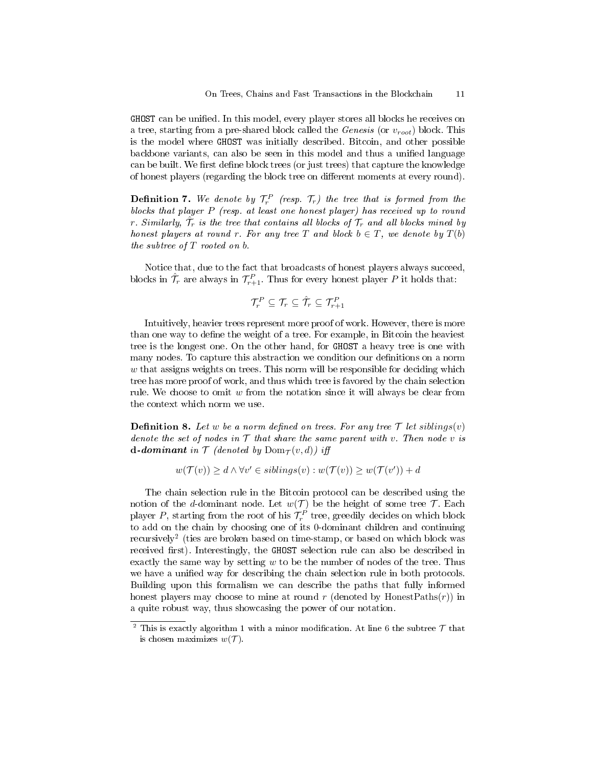GHOST can be unified. In this model, every player stores all blocks he receives on a tree, starting from a pre-shared block called the Genesis (or  $v_{root}$ ) block. This is the model where GHOST was initially described. Bitcoin, and other possible backbone variants, can also be seen in this model and thus a unified language can be built. We first define block trees (or just trees) that capture the knowledge of honest players (regarding the block tree on different moments at every round).

**Definition 7.** We denote by  $\mathcal{T}_r^P$  (resp.  $\mathcal{T}_r$ ) the tree that is formed from the blocks that player P (resp. at least one honest player) has received up to round r. Similarly,  $\hat{\mathcal{T}}_r$  is the tree that contains all blocks of  $\mathcal{T}_r$  and all blocks mined by honest players at round r. For any tree T and block  $b \in T$ , we denote by  $T(b)$ the subtree of  $T$  rooted on  $b$ .

Notice that, due to the fact that broadcasts of honest players always succeed, blocks in  $\hat{\mathcal{T}}_r$  are always in  $\mathcal{T}_{r+1}^P$ . Thus for every honest player P it holds that:

$$
\mathcal{T}^P_r \subseteq \mathcal{T}_r \subseteq \hat{\mathcal{T}}_r \subseteq \mathcal{T}^P_{r+1}
$$

Intuitively, heavier trees represent more proof of work. However, there is more than one way to define the weight of a tree. For example, in Bitcoin the heaviest tree is the longest one. On the other hand, for GHOST a heavy tree is one with many nodes. To capture this abstraction we condition our definitions on a norm  $w$  that assigns weights on trees. This norm will be responsible for deciding which tree has more proof of work, and thus which tree is favored by the chain selection rule. We choose to omit  $w$  from the notation since it will always be clear from the context which norm we use.

**Definition 8.** Let w be a norm defined on trees. For any tree  $\mathcal{T}$  let siblings(v) denote the set of nodes in  $\mathcal T$  that share the same parent with v. Then node v is **d**-dominant in  $\mathcal{T}$  (denoted by  $\text{Dom}_{\mathcal{T}}(v, d)$ ) iff

 $w(\mathcal{T}(v)) \geq d \wedge \forall v' \in siblings(v): w(\mathcal{T}(v)) \geq w(\mathcal{T}(v')) + d$ 

The chain selection rule in the Bitcoin protocol can be described using the notion of the d-dominant node. Let  $w(\mathcal{T})$  be the height of some tree  $\mathcal{T}$ . Each player P, starting from the root of his  $\mathcal{T}^P_r$  tree, greedily decides on which block to add on the chain by choosing one of its 0-dominant children and continuing recursively<sup>2</sup> (ties are broken based on time-stamp, or based on which block was received first). Interestingly, the GHOST selection rule can also be described in exactly the same way by setting  $w$  to be the number of nodes of the tree. Thus we have a unified way for describing the chain selection rule in both protocols. Building upon this formalism we can describe the paths that fully informed honest players may choose to mine at round r (denoted by HonestPaths $(r)$ ) in a quite robust way, thus showcasing the power of our notation.

<sup>&</sup>lt;sup>2</sup> This is exactly algorithm 1 with a minor modification. At line 6 the subtree  $\mathcal T$  that is chosen maximizes  $w(\mathcal{T})$ .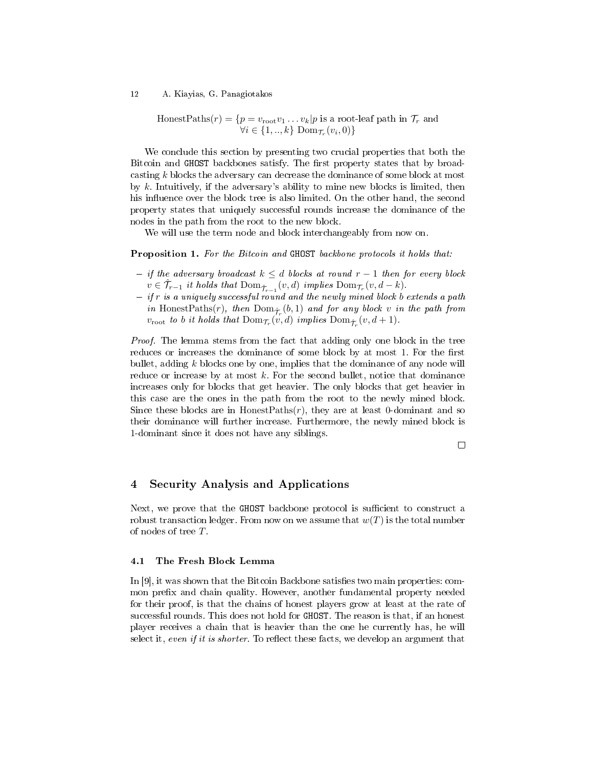HonestPaths $(r) = \{p = v_{\text{root}}v_1 \dots v_k | p$  is a root-leaf path in  $\mathcal{T}_r$  and  $\forall i \in \{1, ..., k\} \text{Dom}_{\mathcal{T}_r}(v_i, 0)\}\$ 

We conclude this section by presenting two crucial properties that both the Bitcoin and GHOST backbones satisfy. The first property states that by broadcasting k blocks the adversary can decrease the dominance of some block at most by k. Intuitively, if the adversary's ability to mine new blocks is limited, then his influence over the block tree is also limited. On the other hand, the second property states that uniquely successful rounds increase the dominance of the nodes in the path from the root to the new block.

We will use the term node and block interchangeably from now on.

Proposition 1. For the Bitcoin and GHOST backbone protocols it holds that:

- $\overline{\phantom{a}}$  if the adversary broadcast  $k ≤ d$  blocks at round  $r 1$  then for every block  $v \in \hat{\mathcal{T}}_{r-1}$  it holds that  $\text{Dom}_{\hat{\mathcal{T}}_{r-1}}(v, d)$  implies  $\text{Dom}_{\mathcal{T}_r}(v, d-k)$ .
- $i$  if r is a uniquely successful round and the newly mined block b extends a path in HonestPaths $(r)$ , then  $\text{Dom}_{\hat{\mathcal{T}}_r}(b,1)$  and for any block v in the path from  $v_{\text{root}}$  to b it holds that  $\text{Dom}_{\mathcal{T}_r}(v, d)$  implies  $\text{Dom}_{\mathcal{T}_r}(v, d+1)$ .

Proof. The lemma stems from the fact that adding only one block in the tree reduces or increases the dominance of some block by at most 1. For the first bullet, adding  $k$  blocks one by one, implies that the dominance of any node will reduce or increase by at most  $k$ . For the second bullet, notice that dominance increases only for blocks that get heavier. The only blocks that get heavier in this case are the ones in the path from the root to the newly mined block. Since these blocks are in HonestPaths $(r)$ , they are at least 0-dominant and so their dominance will further increase. Furthermore, the newly mined block is 1-dominant since it does not have any siblings.

 $\Box$ 

#### 4 Security Analysis and Applications

Next, we prove that the GHOST backbone protocol is sufficient to construct a robust transaction ledger. From now on we assume that  $w(T)$  is the total number of nodes of tree T.

#### 4.1 The Fresh Block Lemma

In  $[9]$ , it was shown that the Bitcoin Backbone satisfies two main properties: common prefix and chain quality. However, another fundamental property needed for their proof, is that the chains of honest players grow at least at the rate of successful rounds. This does not hold for GHOST. The reason is that, if an honest player receives a chain that is heavier than the one he currently has, he will select it, even if it is shorter. To reflect these facts, we develop an argument that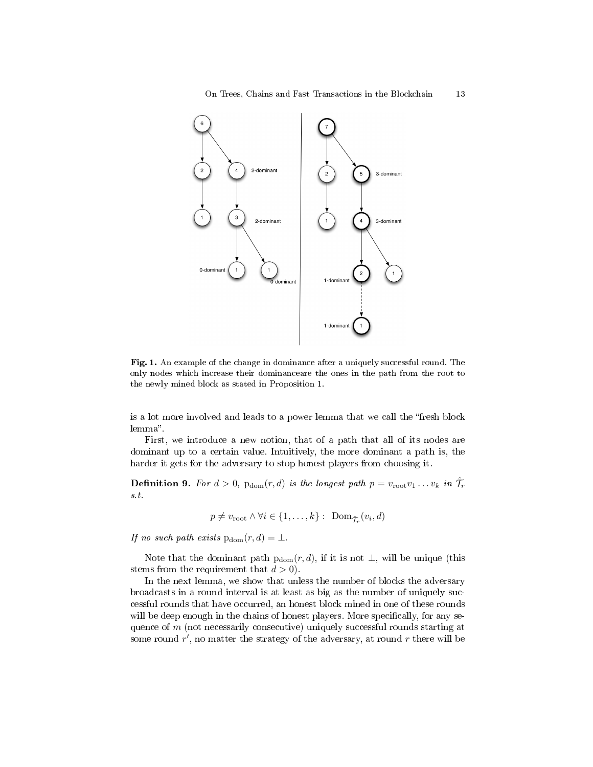

Fig. 1. An example of the change in dominance after a uniquely successful round. The only nodes which increase their dominanceare the ones in the path from the root to the newly mined block as stated in Proposition 1.

is a lot more involved and leads to a power lemma that we call the "fresh block" lemma".

First, we introduce a new notion, that of a path that all of its nodes are dominant up to a certain value. Intuitively, the more dominant a path is, the harder it gets for the adversary to stop honest players from choosing it.

**Definition 9.** For  $d > 0$ ,  $p_{\text{dom}}(r, d)$  is the longest path  $p = v_{\text{root}}v_1 \dots v_k$  in  $\hat{\mathcal{T}}_r$ s.t.

$$
p \neq v_{\text{root}} \land \forall i \in \{1, \dots, k\} : \text{Dom}_{\hat{\mathcal{T}}_r}(v_i, d)
$$

If no such path exists  $p_{dom}(r, d) = \bot$ .

Note that the dominant path  $p_{dom}(r, d)$ , if it is not  $\perp$ , will be unique (this stems from the requirement that  $d > 0$ .

In the next lemma, we show that unless the number of blocks the adversary broadcasts in a round interval is at least as big as the number of uniquely successful rounds that have occurred, an honest block mined in one of these rounds will be deep enough in the chains of honest players. More specifically, for any sequence of  $m$  (not necessarily consecutive) uniquely successful rounds starting at some round  $r'$ , no matter the strategy of the adversary, at round  $r$  there will be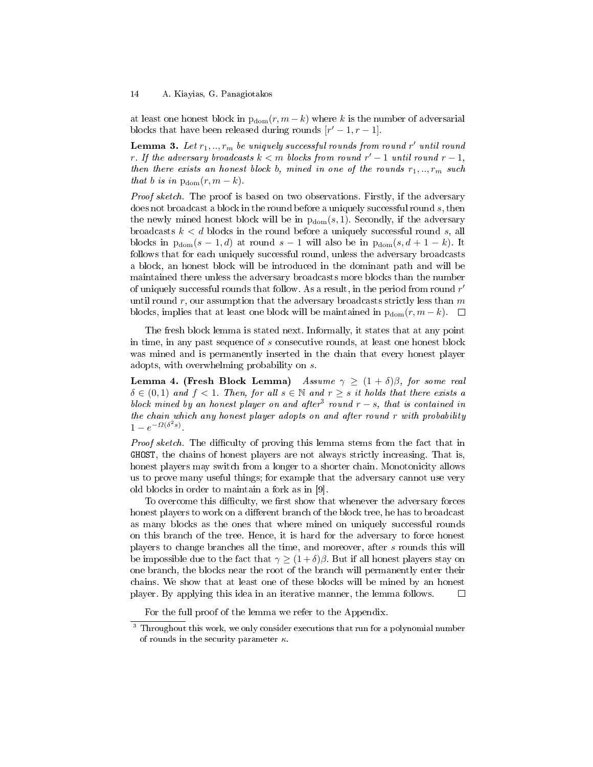at least one honest block in  $p_{dom}(r, m - k)$  where k is the number of adversarial blocks that have been released during rounds  $[r'-1, r-1]$ .

**Lemma 3.** Let  $r_1,..,r_m$  be uniquely successful rounds from round  $r'$  until round r. If the adversary broadcasts  $k < m$  blocks from round  $r' - 1$  until round  $r - 1$ , then there exists an honest block b, mined in one of the rounds  $r_1, ..., r_m$  such that b is in  $p_{dom}(r, m - k)$ .

Proof sketch. The proof is based on two observations. Firstly, if the adversary does not broadcast a block in the round before a uniquely successful round  $s$ , then the newly mined honest block will be in  $p_{dom}(s, 1)$ . Secondly, if the adversary broadcasts  $k < d$  blocks in the round before a uniquely successful round s, all blocks in  $p_{dom}(s-1, d)$  at round  $s-1$  will also be in  $p_{dom}(s, d+1-k)$ . It follows that for each uniquely successful round, unless the adversary broadcasts a block, an honest block will be introduced in the dominant path and will be maintained there unless the adversary broadcasts more blocks than the number of uniquely successful rounds that follow. As a result, in the period from round  $r^\prime$ until round r, our assumption that the adversary broadcasts strictly less than  $m$ blocks, implies that at least one block will be maintained in  $p_{dom}(r, m-k)$ .  $\Box$ 

The fresh block lemma is stated next. Informally, it states that at any point in time, in any past sequence of s consecutive rounds, at least one honest block was mined and is permanently inserted in the chain that every honest player adopts, with overwhelming probability on s.

Lemma 4. (Fresh Block Lemma) Assume  $\gamma \geq (1 + \delta)\beta$ , for some real  $\delta \in (0,1)$  and  $f < 1$ . Then, for all  $s \in \mathbb{N}$  and  $r \geq s$  it holds that there exists a block mined by an honest player on and after<sup>3</sup> round  $r - s$ , that is contained in the chain which any honest player adopts on and after round r with probability  $1 - e^{-\Omega(\delta^2 s)}$ .

Proof sketch. The difficulty of proving this lemma stems from the fact that in GHOST, the chains of honest players are not always strictly increasing. That is, honest players may switch from a longer to a shorter chain. Monotonicity allows us to prove many useful things; for example that the adversary cannot use very old blocks in order to maintain a fork as in [9].

To overcome this difficulty, we first show that whenever the adversary forces honest players to work on a different branch of the block tree, he has to broadcast as many blocks as the ones that where mined on uniquely successful rounds on this branch of the tree. Hence, it is hard for the adversary to force honest players to change branches all the time, and moreover, after s rounds this will be impossible due to the fact that  $\gamma \geq (1+\delta)\beta$ . But if all honest players stay on one branch, the blocks near the root of the branch will permanently enter their chains. We show that at least one of these blocks will be mined by an honest player. By applying this idea in an iterative manner, the lemma follows.  $\Box$ 

For the full proof of the lemma we refer to the Appendix.

<sup>&</sup>lt;sup>3</sup> Throughout this work, we only consider executions that run for a polynomial number of rounds in the security parameter  $\kappa$ .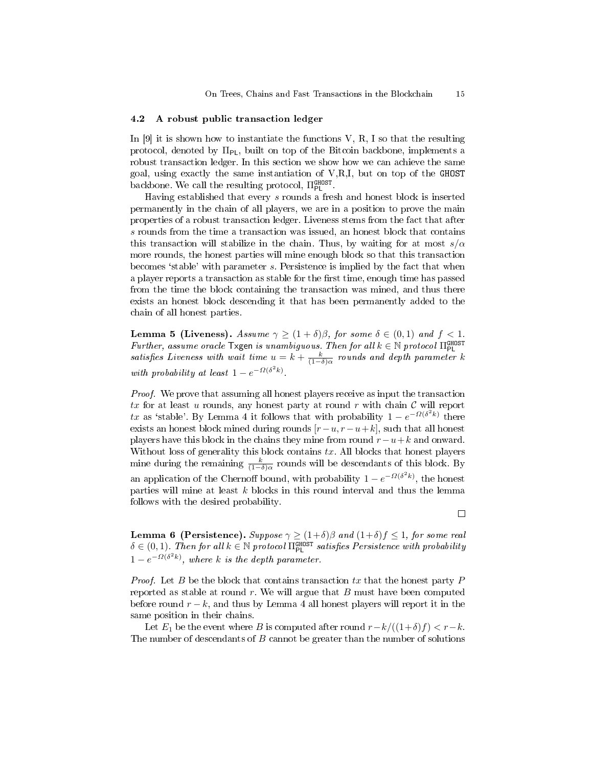#### 4.2 A robust public transaction ledger

In  $[9]$  it is shown how to instantiate the functions V, R, I so that the resulting protocol, denoted by  $\Pi_{PL}$ , built on top of the Bitcoin backbone, implements a robust transaction ledger. In this section we show how we can achieve the same goal, using exactly the same instantiation of V,R,I, but on top of the GHOST backbone. We call the resulting protocol,  $\Pi_{\mathsf{PL}}^{\mathsf{GHOST}}$ .

Having established that every s rounds a fresh and honest block is inserted permanently in the chain of all players, we are in a position to prove the main properties of a robust transaction ledger. Liveness stems from the fact that after s rounds from the time a transaction was issued, an honest block that contains this transaction will stabilize in the chain. Thus, by waiting for at most  $s/\alpha$ more rounds, the honest parties will mine enough block so that this transaction becomes 'stable' with parameter  $s$ . Persistence is implied by the fact that when a player reports a transaction as stable for the first time, enough time has passed from the time the block containing the transaction was mined, and thus there exists an honest block descending it that has been permanently added to the chain of all honest parties.

**Lemma 5 (Liveness).** Assume  $\gamma \geq (1+\delta)\beta$ , for some  $\delta \in (0,1)$  and  $f < 1$ . Further, assume oracle Txgen is unambiguous. Then for all  $k \in \mathbb{N}$  protocol  $\Pi_{\text{PL}}^{\text{GBIST}}$ <br>satisfies Liveness with wait time  $u = k + \frac{k}{(1-\delta)\alpha}$  rounds and depth parameter k with probability at least  $1 - e^{-\Omega(\delta^2 k)}$ .

Proof. We prove that assuming all honest players receive as input the transaction tx for at least  $u$  rounds, any honest party at round  $r$  with chain  $\mathcal C$  will report tx as 'stable'. By Lemma 4 it follows that with probability  $1 - e^{-\Omega(\delta^2 k)}$  there exists an honest block mined during rounds  $[r-u, r-u+k]$ , such that all honest players have this block in the chains they mine from round  $r-u+k$  and onward. Without loss of generality this block contains  $tx$ . All blocks that honest players mine during the remaining  $\frac{k}{(1-\delta)\alpha}$  rounds will be descendants of this block. By an application of the Chernoff bound, with probability  $1 - e^{-\Omega(\delta^2 k)}$ , the honest parties will mine at least  $k$  blocks in this round interval and thus the lemma follows with the desired probability.

**Lemma 6 (Persistence).** Suppose  $\gamma \geq (1+\delta)\beta$  and  $(1+\delta)f \leq 1$ , for some real  $\delta \in (0,1)$ . Then for all  $k \in \mathbb{N}$  protocol  $\Pi_{\mathsf{PL}}^{\mathsf{GROST}}$  satisfies Persistence with probability  $1-e^{-\Omega(\delta^2 k)}$ , where k is the depth parameter.

*Proof.* Let B be the block that contains transaction  $tx$  that the honest party P reported as stable at round r. We will argue that  $B$  must have been computed before round  $r - k$ , and thus by Lemma 4 all honest players will report it in the same position in their chains.

Let  $E_1$  be the event where B is computed after round  $r-k/((1+\delta)f) < r-k$ . The number of descendants of B cannot be greater than the number of solutions

 $\Box$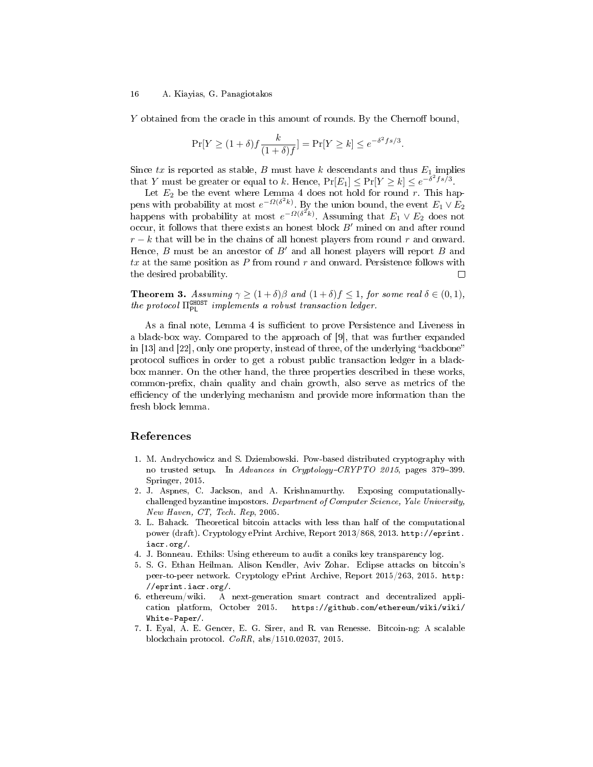Y obtained from the oracle in this amount of rounds. By the Chernoff bound,

$$
\Pr[Y \ge (1+\delta)f\frac{k}{(1+\delta)f}] = \Pr[Y \ge k] \le e^{-\delta^2 fs/3}.
$$

Since  $tx$  is reported as stable,  $B$  must have  $k$  descendants and thus  $E_1$  implies that Y must be greater or equal to k. Hence,  $Pr[E_1] \leq Pr[Y \geq k] \leq e^{-\delta^2 f s/3}$ .

Let  $E_2$  be the event where Lemma 4 does not hold for round r. This happens with probability at most  $e^{-\Omega(\delta^2 k)}$ . By the union bound, the event  $E_1 \vee \overline{E_2}$ happens with probability at most  $e^{-\Omega(\delta^2 k)}$ . Assuming that  $E_1 \vee E_2$  does not occur, it follows that there exists an honest block  $B'$  mined on and after round  $r - k$  that will be in the chains of all honest players from round r and onward. Hence,  $B$  must be an ancestor of  $B'$  and all honest players will report  $B$  and  $tx$  at the same position as P from round r and onward. Persistence follows with the desired probability.  $\Box$ 

**Theorem 3.** Assuming  $\gamma \geq (1+\delta)\beta$  and  $(1+\delta)f \leq 1$ , for some real  $\delta \in (0,1)$ ,  $the\ protocol\ \Pi_{\sf PL}^{\tt GHOST}\ \ implements\ a\ robust\ transaction\ ledger.$ 

As a final note, Lemma 4 is sufficient to prove Persistence and Liveness in a black-box way. Compared to the approach of [9], that was further expanded in  $[13]$  and  $[22]$ , only one property, instead of three, of the underlying "backbone" protocol suffices in order to get a robust public transaction ledger in a blackbox manner. On the other hand, the three properties described in these works, common-prefix, chain quality and chain growth, also serve as metrics of the efficiency of the underlying mechanism and provide more information than the fresh block lemma.

#### References

- 1. M. Andrychowicz and S. Dziembowski. Pow-based distributed cryptography with no trusted setup. In Advances in Cryptology-CRYPTO 2015, pages 379-399. Springer, 2015.
- 2. J. Aspnes, C. Jackson, and A. Krishnamurthy. Exposing computationallychallenged byzantine impostors. Department of Computer Science, Yale University, New Haven, CT, Tech. Rep, 2005.
- 3. L. Bahack. Theoretical bitcoin attacks with less than half of the computational power (draft). Cryptology ePrint Archive, Report 2013/868, 2013. http://eprint. iacr.org/.
- 4. J. Bonneau. Ethiks: Using ethereum to audit a coniks key transparency log.
- 5. S. G. Ethan Heilman. Alison Kendler, Aviv Zohar. Eclipse attacks on bitcoin's peer-to-peer network. Cryptology ePrint Archive, Report 2015/263, 2015. http: //eprint.iacr.org/.
- 6. ethereum/wiki. A next-generation smart contract and decentralized application platform, October 2015. https://github.com/ethereum/wiki/wiki/ White-Paper/.
- 7. I. Eyal, A. E. Gencer, E. G. Sirer, and R. van Renesse. Bitcoin-ng: A scalable blockchain protocol. CoRR, abs/1510.02037, 2015.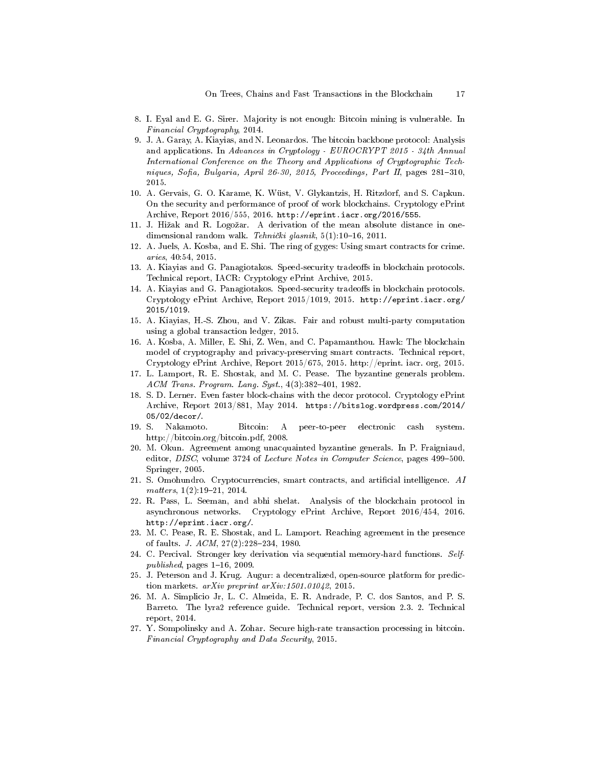- 8. I. Eyal and E. G. Sirer. Majority is not enough: Bitcoin mining is vulnerable. In Financial Cryptography, 2014.
- 9. J. A. Garay, A. Kiayias, and N. Leonardos. The bitcoin backbone protocol: Analysis and applications. In Advances in Cryptology - EUROCRYPT 2015 - 34th Annual International Conference on the Theory and Applications of Cryptographic Techniques, Sofia, Bulgaria, April 26-30, 2015, Proceedings, Part II, pages  $281-310$ , 2015.
- 10. A. Gervais, G. O. Karame, K. Wüst, V. Glykantzis, H. Ritzdorf, and S. Capkun. On the security and performance of proof of work blockchains. Cryptology ePrint Archive, Report 2016/555, 2016. http://eprint.iacr.org/2016/555.
- 11. J. Hižak and R. Logožar. A derivation of the mean absolute distance in onedimensional random walk. Tehnički glasnik,  $5(1):10-16$ , 2011.
- 12. A. Juels, A. Kosba, and E. Shi. The ring of gyges: Using smart contracts for crime. aries, 40:54, 2015.
- 13. A. Kiayias and G. Panagiotakos. Speed-security tradeoffs in blockchain protocols. Technical report, IACR: Cryptology ePrint Archive, 2015.
- 14. A. Kiayias and G. Panagiotakos. Speed-security tradeoffs in blockchain protocols. Cryptology ePrint Archive, Report 2015/1019, 2015. http://eprint.iacr.org/ 2015/1019.
- 15. A. Kiayias, H.-S. Zhou, and V. Zikas. Fair and robust multi-party computation using a global transaction ledger, 2015.
- 16. A. Kosba, A. Miller, E. Shi, Z. Wen, and C. Papamanthou. Hawk: The blockchain model of cryptography and privacy-preserving smart contracts. Technical report, Cryptology ePrint Archive, Report 2015/675, 2015. http://eprint. iacr. org, 2015.
- 17. L. Lamport, R. E. Shostak, and M. C. Pease. The byzantine generals problem. ACM Trans. Program. Lang. Syst., 4(3):382-401, 1982.
- 18. S. D. Lerner. Even faster block-chains with the decor protocol. Cryptology ePrint Archive, Report 2013/881, May 2014. https://bitslog.wordpress.com/2014/ 05/02/decor/.
- 19. S. Nakamoto. Bitcoin: A peer-to-peer electronic cash system. http://bitcoin.org/bitcoin.pdf, 2008.
- 20. M. Okun. Agreement among unacquainted byzantine generals. In P. Fraigniaud, editor,  $DISC$ , volume 3724 of Lecture Notes in Computer Science, pages  $499-500$ . Springer, 2005.
- 21. S. Omohundro. Cryptocurrencies, smart contracts, and articial intelligence. AI  $matters, 1(2):19-21, 2014.$
- 22. R. Pass, L. Seeman, and abhi shelat. Analysis of the blockchain protocol in asynchronous networks. Cryptology ePrint Archive, Report 2016/454, 2016. http://eprint.iacr.org/.
- 23. M. C. Pease, R. E. Shostak, and L. Lamport. Reaching agreement in the presence of faults. *J. ACM*, 27(2):228-234, 1980.
- 24. C. Percival. Stronger key derivation via sequential memory-hard functions. Self $p$ *ublished*, pages  $1-16$ , 2009.
- 25. J. Peterson and J. Krug. Augur: a decentralized, open-source platform for prediction markets. arXiv preprint arXiv:1501.01042, 2015.
- 26. M. A. Simplicio Jr, L. C. Almeida, E. R. Andrade, P. C. dos Santos, and P. S. Barreto. The lyra2 reference guide. Technical report, version 2.3. 2. Technical report, 2014.
- 27. Y. Sompolinsky and A. Zohar. Secure high-rate transaction processing in bitcoin. Financial Cryptography and Data Security, 2015.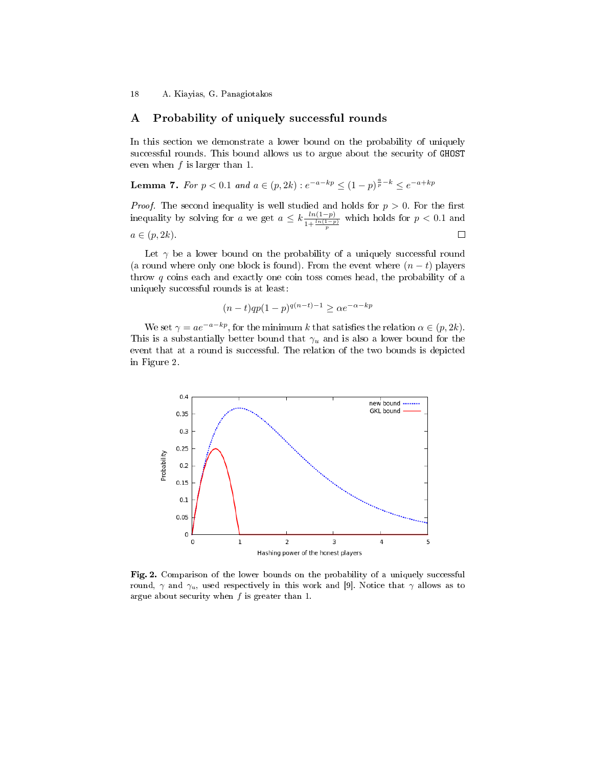#### A Probability of uniquely successful rounds

In this section we demonstrate a lower bound on the probability of uniquely successful rounds. This bound allows us to argue about the security of GHOST even when  $f$  is larger than 1.

**Lemma 7.** For  $p < 0.1$  and  $a \in (p, 2k) : e^{-a-kp} \le (1-p)^{\frac{a}{p}-k} \le e^{-a+kp}$ 

*Proof.* The second inequality is well studied and holds for  $p > 0$ . For the first inequality by solving for a we get  $a \leq k \frac{\ln(1-p)}{1 + \ln(1-p)}$  $\frac{\ln(1-p)}{1+\frac{\ln(1-p)}{p}}$  which holds for  $p < 0.1$  and  $a \in (p, 2k)$ .  $\Box$ 

Let  $\gamma$  be a lower bound on the probability of a uniquely successful round (a round where only one block is found). From the event where  $(n - t)$  players throw  $q$  coins each and exactly one coin toss comes head, the probability of a uniquely successful rounds is at least:

$$
(n-t)qp(1-p)^{q(n-t)-1} \ge \alpha e^{-\alpha - kp}
$$

We set  $\gamma = ae^{-a-kp}$ , for the minimum k that satisfies the relation  $\alpha \in (p, 2k)$ . This is a substantially better bound that  $\gamma_u$  and is also a lower bound for the event that at a round is successful. The relation of the two bounds is depicted in Figure 2.



Fig. 2. Comparison of the lower bounds on the probability of a uniquely successful round,  $\gamma$  and  $\gamma_u$ , used respectively in this work and [9]. Notice that  $\gamma$  allows as to argue about security when  $f$  is greater than 1.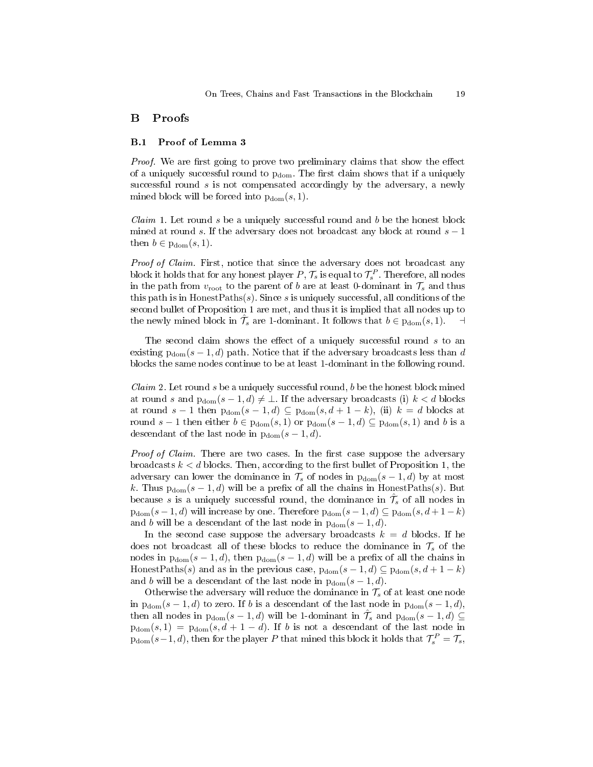#### B Proofs

#### B.1 Proof of Lemma 3

*Proof.* We are first going to prove two preliminary claims that show the effect of a uniquely successful round to  $p_{dom}$ . The first claim shows that if a uniquely successful round  $s$  is not compensated accordingly by the adversary, a newly mined block will be forced into  $p_{dom}(s, 1)$ .

*Claim* 1. Let round s be a uniquely successful round and b be the honest block mined at round s. If the adversary does not broadcast any block at round  $s - 1$ then  $b \in p_{dom}(s, 1)$ .

Proof of Claim. First, notice that since the adversary does not broadcast any block it holds that for any honest player  $P, \mathcal{T}_s$  is equal to  $\mathcal{T}_s^P.$  Therefore, all nodes in the path from  $v_{\text{root}}$  to the parent of b are at least 0-dominant in  $\mathcal{T}_s$  and thus this path is in HonestPaths $(s)$ . Since s is uniquely successful, all conditions of the second bullet of Proposition 1 are met, and thus it is implied that all nodes up to the newly mined block in  $\hat{\mathcal{T}}_s$  are 1-dominant. It follows that  $b \in p_{dom}(s, 1)$ .

The second claim shows the effect of a uniquely successful round  $s$  to an existing  $p_{dom}(s-1, d)$  path. Notice that if the adversary broadcasts less than d blocks the same nodes continue to be at least 1-dominant in the following round.

 $Claim\ 2.$  Let round s be a uniquely successful round, b be the honest block mined at round s and  $p_{dom}(s-1, d) \neq \bot$ . If the adversary broadcasts (i)  $k < d$  blocks at round  $s - 1$  then  $p_{dom}(s - 1, d) \subseteq p_{dom}(s, d + 1 - k)$ , (ii)  $k = d$  blocks at round s – 1 then either  $b \in p_{dom}(s, 1)$  or  $p_{dom}(s - 1, d) \subseteq p_{dom}(s, 1)$  and b is a descendant of the last node in  $p_{dom}(s-1, d)$ .

*Proof of Claim.* There are two cases. In the first case suppose the adversary broadcasts  $k < d$  blocks. Then, according to the first bullet of Proposition 1, the adversary can lower the dominance in  $\mathcal{T}_s$  of nodes in  $p_{dom}(s-1, d)$  by at most k. Thus  $p_{dom}(s-1, d)$  will be a prefix of all the chains in HonestPaths(s). But because s is a uniquely successful round, the dominance in  $\hat{\mathcal{T}}_s$  of all nodes in  $p_{dom}(s-1, d)$  will increase by one. Therefore  $p_{dom}(s-1, d) \subseteq p_{dom}(s, d+1-k)$ and b will be a descendant of the last node in  $p_{dom}(s-1, d)$ .

In the second case suppose the adversary broadcasts  $k = d$  blocks. If he does not broadcast all of these blocks to reduce the dominance in  $\mathcal{T}_s$  of the nodes in  $p_{dom}(s-1, d)$ , then  $p_{dom}(s-1, d)$  will be a prefix of all the chains in HonestPaths(s) and as in the previous case,  $p_{\text{dom}}(s-1, d) \subseteq p_{\text{dom}}(s, d+1-k)$ and b will be a descendant of the last node in  $p_{dom}(s-1, d)$ .

Otherwise the adversary will reduce the dominance in  $\mathcal{T}_s$  of at least one node in  $p_{dom}(s-1, d)$  to zero. If b is a descendant of the last node in  $p_{dom}(s-1, d)$ , then all nodes in  $p_{\text{dom}}(s-1, d)$  will be 1-dominant in  $\hat{\mathcal{T}}_s$  and  $p_{\text{dom}}(s-1, d) \subseteq$  $p_{dom}(s, 1) = p_{dom}(s, d + 1 - d)$ . If b is not a descendant of the last node in  $p_{\text{dom}}(s-1, d)$ , then for the player P that mined this block it holds that  $\mathcal{T}_{s}^{P} = \mathcal{T}_{s}$ ,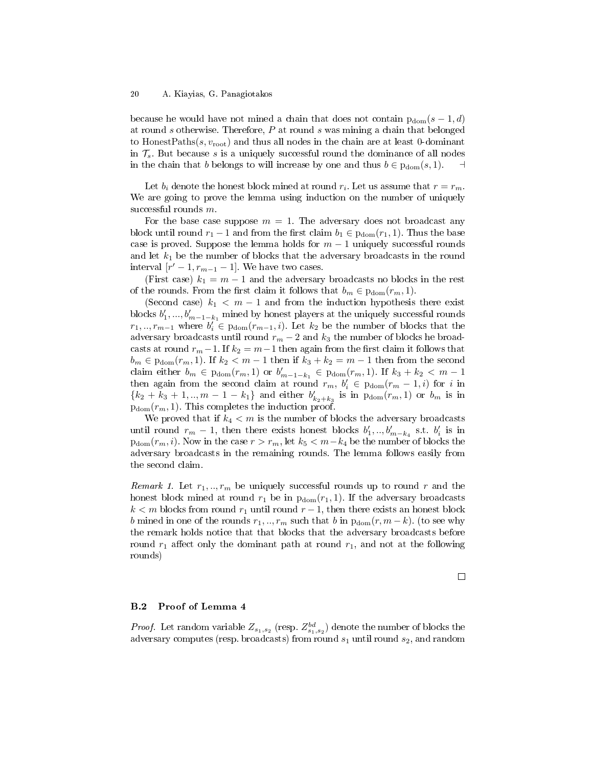because he would have not mined a chain that does not contain  $p_{dom}(s-1, d)$ at round  $s$  otherwise. Therefore,  $P$  at round  $s$  was mining a chain that belonged to HonestPaths $(s, v_{\text{root}})$  and thus all nodes in the chain are at least 0-dominant in  $\mathcal{T}_s$ . But because s is a uniquely successful round the dominance of all nodes in the chain that b belongs to will increase by one and thus  $b \in p_{dom}(s, 1)$ .

Let  $b_i$  denote the honest block mined at round  $r_i$ . Let us assume that  $r = r_m$ . We are going to prove the lemma using induction on the number of uniquely successful rounds m.

For the base case suppose  $m = 1$ . The adversary does not broadcast any block until round  $r_1 - 1$  and from the first claim  $b_1 \in p_{dom}(r_1, 1)$ . Thus the base case is proved. Suppose the lemma holds for  $m-1$  uniquely successful rounds and let  $k_1$  be the number of blocks that the adversary broadcasts in the round interval  $[r'-1, r_{m-1}-1]$ . We have two cases.

(First case)  $k_1 = m - 1$  and the adversary broadcasts no blocks in the rest of the rounds. From the first claim it follows that  $b_m \in p_{dom}(r_m, 1)$ .

(Second case)  $k_1 < m - 1$  and from the induction hypothesis there exist blocks  $b'_1, ..., b'_{m-1-k_1}$  mined by honest players at the uniquely successful rounds  $r_1, ..., r_{m-1}$  where  $b_i' \in p_{dom}(r_{m-1}, i)$ . Let  $k_2$  be the number of blocks that the adversary broadcasts until round  $r_m - 2$  and  $k_3$  the number of blocks he broadcasts at round  $r_m-1$ . If  $k_2 = m-1$  then again from the first claim it follows that  $b_m \in \mathrm{p}_{\mathrm{dom}}(r_m, 1)$ . If  $k_2 < m-1$  then if  $k_3 + k_2 = m-1$  then from the second claim either  $b_m \in p_{\text{dom}}(r_m, 1)$  or  $b'_{m-1-k_1} \in p_{\text{dom}}(r_m, 1)$ . If  $k_3 + k_2 < m - 1$ then again from the second claim at round  $r_m$ ,  $b'_i \in p_{dom}(r_m-1,i)$  for i in  ${k_2 + k_3 + 1, ..., m - 1 - k_1}$  and either  $b'_{k_2+k_3}$  is in  $p_{dom}(r_m, 1)$  or  $b_m$  is in  $p_{dom}(r_m, 1)$ . This completes the induction proof.

We proved that if  $k_4 < m$  is the number of blocks the adversary broadcasts until round  $r_m - 1$ , then there exists honest blocks  $b'_1, ..., b'_{m-k_4}$  s.t.  $b'_i$  is in  $p_{dom}(r_m, i)$ . Now in the case  $r > r_m$ , let  $k_5 < m-k_4$  be the number of blocks the adversary broadcasts in the remaining rounds. The lemma follows easily from the second claim.

Remark 1. Let  $r_1, ..., r_m$  be uniquely successful rounds up to round r and the honest block mined at round  $r_1$  be in  $p_{dom}(r_1, 1)$ . If the adversary broadcasts  $k < m$  blocks from round  $r_1$  until round  $r - 1$ , then there exists an honest block b mined in one of the rounds  $r_1, ..., r_m$  such that b in  $p_{dom}(r, m-k)$ . (to see why the remark holds notice that that blocks that the adversary broadcasts before round  $r_1$  affect only the dominant path at round  $r_1$ , and not at the following rounds)

 $\Box$ 

#### B.2 Proof of Lemma 4

*Proof.* Let random variable  $Z_{s_1,s_2}$  (resp.  $Z_{s_1,s_2}^{bd}$ ) denote the number of blocks the adversary computes (resp. broadcasts) from round  $s_1$  until round  $s_2$ , and random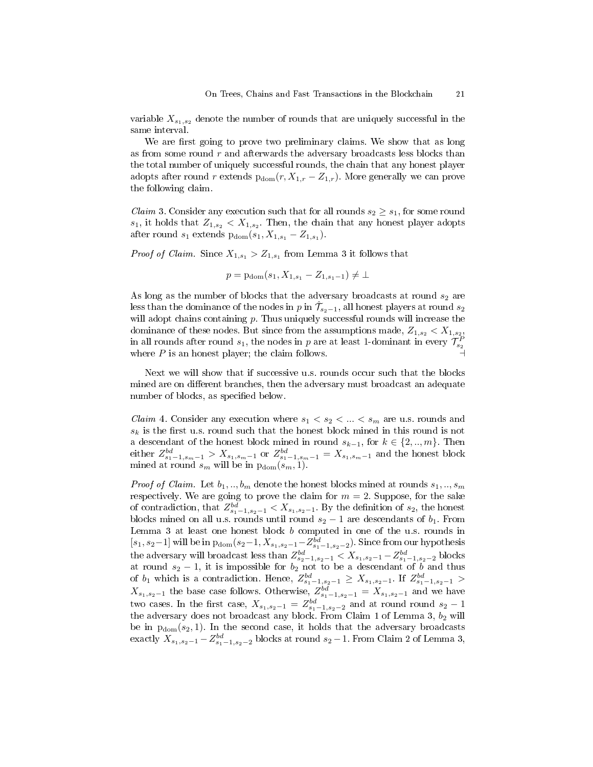variable  $X_{s_1,s_2}$  denote the number of rounds that are uniquely successful in the same interval.

We are first going to prove two preliminary claims. We show that as long as from some round  $r$  and afterwards the adversary broadcasts less blocks than the total number of uniquely successful rounds, the chain that any honest player adopts after round r extends  $p_{dom}(r, X_{1,r} - Z_{1,r})$ . More generally we can prove the following claim.

*Claim* 3. Consider any execution such that for all rounds  $s_2 \geq s_1$ , for some round  $s_1$ , it holds that  $Z_{1,s_2} < X_{1,s_2}$ . Then, the chain that any honest player adopts after round  $s_1$  extends  $p_{\text{dom}}(s_1, X_{1,s_1} - Z_{1,s_1}).$ 

*Proof of Claim.* Since  $X_{1,s_1} > Z_{1,s_1}$  from Lemma 3 it follows that

$$
p = p_{\text{dom}}(s_1, X_{1, s_1} - Z_{1, s_1 - 1}) \neq \bot
$$

As long as the number of blocks that the adversary broadcasts at round  $s_2$  are less than the dominance of the nodes in  $p$  in  $\hat{\mathcal{T}}_{s_2-1},$  all honest players at round  $s_2$ will adopt chains containing  $p$ . Thus uniquely successful rounds will increase the dominance of these nodes. But since from the assumptions made,  $Z_{1,s_2} < X_{1,s_2},$ in all rounds after round  $s_1$ , the nodes in  $p$  are at least 1-dominant in every  $\mathcal{T}^F_{s_2}$ where  $P$  is an honest player; the claim follows.

Next we will show that if successive u.s. rounds occur such that the blocks mined are on different branches, then the adversary must broadcast an adequate number of blocks, as specified below.

*Claim* 4. Consider any execution where  $s_1 < s_2 < ... < s_m$  are u.s. rounds and  $s_k$  is the first u.s. round such that the honest block mined in this round is not a descendant of the honest block mined in round  $s_{k-1}$ , for  $k \in \{2, ..., m\}$ . Then either  $Z_{s_1-1,s_m-1}^{bd} > X_{s_1,s_m-1}$  or  $Z_{s_1-1,s_m-1}^{bd} = X_{s_1,s_m-1}$  and the honest block mined at round  $s_m$  will be in  $p_{dom}(s_m, 1)$ .

*Proof of Claim.* Let  $b_1, ..., b_m$  denote the honest blocks mined at rounds  $s_1, ..., s_m$ respectively. We are going to prove the claim for  $m = 2$ . Suppose, for the sake of contradiction, that  $Z_{s_1-1,s_2-1}^{bd} < X_{s_1,s_2-1}$ . By the definition of  $s_2$ , the honest blocks mined on all u.s. rounds until round  $s_2 - 1$  are descendants of  $b_1$ . From Lemma  $3$  at least one honest block  $b$  computed in one of the u.s. rounds in  $[s_1, s_2-1]$  will be in  $p_{dom}(s_2-1, X_{s_1, s_2-1} - Z_{s_1-1, s_2-2}^{bd})$ . Since from our hypothesis the adversary will broadcast less than  $Z_{s_2-1,s_2-1}^{bd} < X_{s_1,s_2-1} - Z_{s_1-1,s_2-2}^{bd}$  blocks at round  $s_2 - 1$ , it is impossible for  $b_2$  not to be a descendant of b and thus<br>of b, which is a contradiction Hence  $Z^{bd} \longrightarrow X$ , if  $Z^{bd} \longrightarrow$ of  $b_1$  which is a contradiction. Hence,  $Z_{s_1-1,s_2-1}^{bd} \ge X_{s_1,s_2-1}$ . If  $Z_{s_1-1,s_2-1}^{bd} >$  $X_{s_1,s_2-1}$  the base case follows. Otherwise,  $Z_{s_1-1,s_2-1}^{bd} = X_{s_1,s_2-1}$  and we have two cases. In the first case,  $X_{s_1,s_2-1} = Z_{s_1-1,s_2-2}^{bd}$  and at round round  $s_2-1$ the adversary does not broadcast any block. From Claim 1 of Lemma 3,  $b_2$  will be in  $p_{dom}(s_2, 1)$ . In the second case, it holds that the adversary broadcasts exactly  $X_{s_1,s_2-1}-Z^{bd}_{s_1-1,s_2-2}$  blocks at round  $s_2-1$ . From Claim 2 of Lemma 3,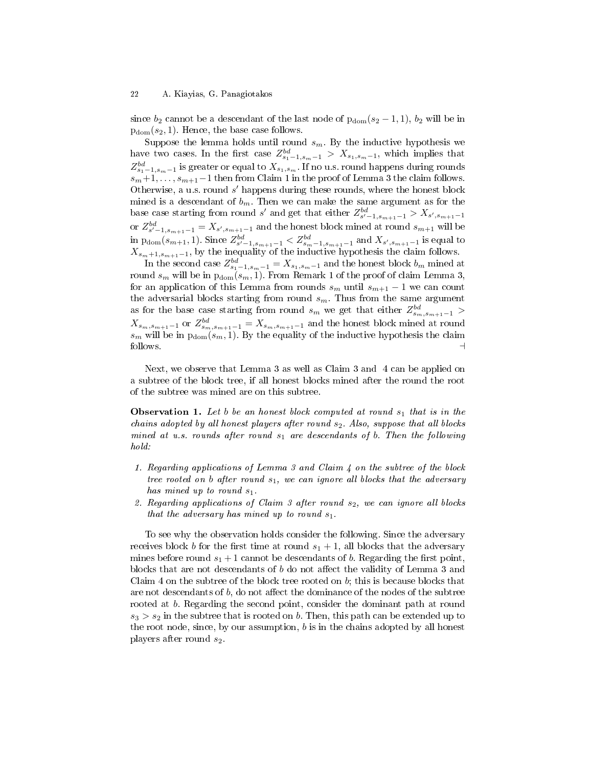since  $b_2$  cannot be a descendant of the last node of  $p_{dom}(s_2-1, 1), b_2$  will be in  $p_{\text{dom}}(s_2, 1)$ . Hence, the base case follows.

Suppose the lemma holds until round  $s_m$ . By the inductive hypothesis we have two cases. In the first case  $Z_{s_1-1,s_m-1}^{bd} > X_{s_1,s_m-1}$ , which implies that  $Z_{s_{1}-1,s_{m}-1}^{bd}$  is greater or equal to  $X_{s_{1},s_{m}}$ . If no u.s. round happens during rounds  $s_m+1, \ldots, s_{m+1}-1$  then from Claim 1 in the proof of Lemma 3 the claim follows. Otherwise, a u.s. round  $s'$  happens during these rounds, where the honest block mined is a descendant of  $b_m$ . Then we can make the same argument as for the base case starting from round s' and get that either  $Z_{s'-1,s_{m+1}-1}^{bd} > X_{s',s_{m+1}-1}$ or  $Z^{bd}_{s'-1,s_{m+1}-1} = X_{s',s_{m+1}-1}$  and the honest block mined at round  $s_{m+1}$  will be  $\min \limits_{\{a_{m+1},1\}} \min \limits_{a_{m+1},1} S_{a_{m+1},s_{m+1}-1} < \sum_{m=1}^{nd} S_{a_{m+1},s_{m+1}-1}$  and  $X_{s',s_{m+1}-1}$  is equal to  $X_{s_m+1,s_{m+1}-1}$ , by the inequality of the inductive hypothesis the claim follows.

In the second case  $Z_{s_1-1,s_m-1}^{bd} = X_{s_1,s_m-1}$  and the honest block  $b_m$  mined at round  $s_m$  will be in  $\mathrm{p}_{\mathrm{dom}}(s_m,1)$ . From Remark 1 of the proof of claim Lemma 3, for an application of this Lemma from rounds  $s_m$  until  $s_{m+1} - 1$  we can count the adversarial blocks starting from round  $s_m$ . Thus from the same argument as for the base case starting from round  $s_m$  we get that either  $Z_{s_m,s_{m+1}-1}^{bd}$  >  $X_{s_m,s_{m+1}-1}$  or  $Z_{s_m,s_{m+1}-1}^{bd} = X_{s_m,s_{m+1}-1}$  and the honest block mined at round  $s_m$  will be in  $p_{dom}(s_m, 1)$ . By the equality of the inductive hypothesis the claim  $\Box$  follows.

Next, we observe that Lemma 3 as well as Claim 3 and 4 can be applied on a subtree of the block tree, if all honest blocks mined after the round the root of the subtree was mined are on this subtree.

**Observation 1.** Let b be an honest block computed at round  $s_1$  that is in the chains adopted by all honest players after round  $s_2$ . Also, suppose that all blocks mined at u.s. rounds after round  $s_1$  are descendants of b. Then the following hold:

- 1. Regarding applications of Lemma 3 and Claim 4 on the subtree of the block tree rooted on b after round  $s_1$ , we can ignore all blocks that the adversary has mined up to round  $s_1$ .
- 2. Regarding applications of Claim 3 after round  $s_2$ , we can ignore all blocks that the adversary has mined up to round  $s_1$ .

To see why the observation holds consider the following. Since the adversary receives block b for the first time at round  $s_1 + 1$ , all blocks that the adversary mines before round  $s_1 + 1$  cannot be descendants of b. Regarding the first point, blocks that are not descendants of  $b$  do not affect the validity of Lemma 3 and Claim 4 on the subtree of the block tree rooted on  $b$ ; this is because blocks that are not descendants of  $b$ , do not affect the dominance of the nodes of the subtree rooted at b. Regarding the second point, consider the dominant path at round  $s_3 > s_2$  in the subtree that is rooted on b. Then, this path can be extended up to the root node, since, by our assumption,  $b$  is in the chains adopted by all honest players after round  $s_2$ .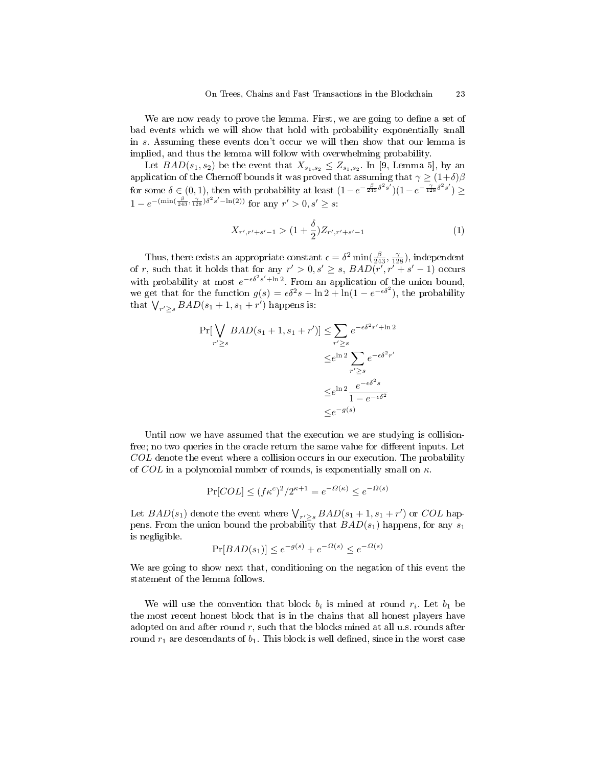We are now ready to prove the lemma. First, we are going to define a set of bad events which we will show that hold with probability exponentially small in s. Assuming these events don't occur we will then show that our lemma is implied, and thus the lemma will follow with overwhelming probability.

Let  $BAD(s_1, s_2)$  be the event that  $X_{s_1, s_2} \leq Z_{s_1, s_2}$ . In [9, Lemma 5], by an application of the Chernoff bounds it was proved that assuming that  $\gamma \geq (1+\delta)\beta$ for some  $\delta \in (0,1)$ , then with probability at least  $(1-e^{-\frac{\beta}{243}\delta^2 s'}) (1-e^{-\frac{\gamma}{128}\delta^2 s'}) \geq$  $1 - e^{-\left(\min\left(\frac{\beta}{243}, \frac{\gamma}{128}\right)\delta^2 s' - \ln(2)\right)}$  for any  $r' > 0, s' \geq s$ :

$$
X_{r',r'+s'-1} > (1+\frac{\delta}{2})Z_{r',r'+s'-1}
$$
\n(1)

Thus, there exists an appropriate constant  $\epsilon = \delta^2 \min(\frac{\beta}{243}, \frac{\gamma}{128})$ , independent of r, such that it holds that for any  $r' > 0, s' \geq s$ ,  $BAD(r', r' + s' - 1)$  occurs with probability at most  $e^{-\epsilon \delta^2 s' + \ln 2}$ . From an application of the union bound, we get that for the function  $g(s) = \epsilon \delta^2 s - \ln 2 + \ln(1 - e^{-\epsilon \delta^2})$ , the probability that  $\bigvee_{r'\geq s} BAD(s_1+1, s_1+r')$  happens is:

$$
\Pr[\bigvee_{r' \ge s} BAD(s_1 + 1, s_1 + r')] \le \sum_{r' \ge s} e^{-\epsilon \delta^2 r' + \ln 2}
$$

$$
\le e^{\ln 2} \sum_{r' \ge s} e^{-\epsilon \delta^2 r'}
$$

$$
\le e^{\ln 2} \frac{e^{-\epsilon \delta^2 s}}{1 - e^{-\epsilon \delta^2}}
$$

$$
\le e^{-g(s)}
$$

Until now we have assumed that the execution we are studying is collisionfree; no two queries in the oracle return the same value for different inputs. Let COL denote the event where a collision occurs in our execution. The probability of COL in a polynomial number of rounds, is exponentially small on  $\kappa$ .

$$
\Pr[COL] \le (f\kappa^c)^2 / 2^{\kappa + 1} = e^{-\Omega(\kappa)} \le e^{-\Omega(s)}
$$

Let  $BAD(s_1)$  denote the event where  $\bigvee_{r'\geq s} BAD(s_1+1,s_1+r')$  or  $COL$  happens. From the union bound the probability that  $BAD(s_1)$  happens, for any  $s_1$ is negligible.

$$
\Pr[BAD(s_1)] \le e^{-g(s)} + e^{-\Omega(s)} \le e^{-\Omega(s)}
$$

We are going to show next that, conditioning on the negation of this event the statement of the lemma follows.

We will use the convention that block  $b_i$  is mined at round  $r_i$ . Let  $b_1$  be the most recent honest block that is in the chains that all honest players have adopted on and after round  $r$ , such that the blocks mined at all u.s. rounds after round  $r_1$  are descendants of  $b_1$ . This block is well defined, since in the worst case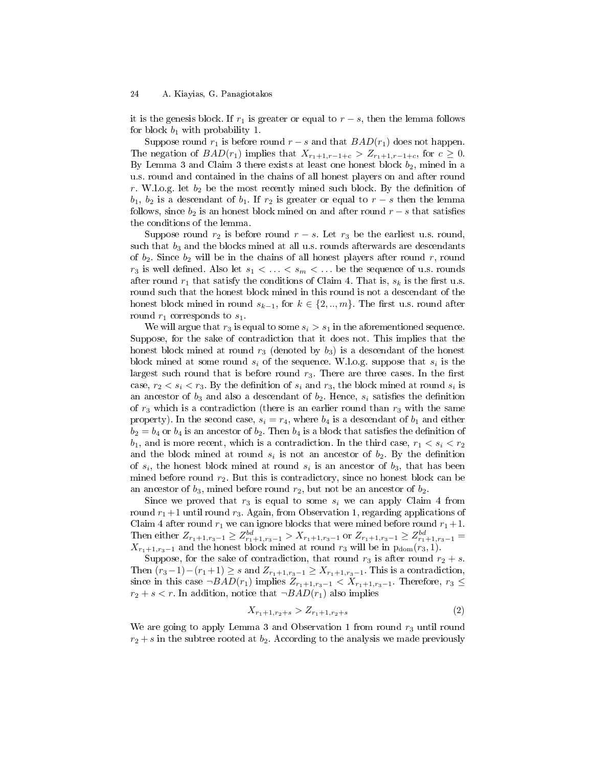it is the genesis block. If  $r_1$  is greater or equal to  $r - s$ , then the lemma follows for block  $b_1$  with probability 1.

Suppose round  $r_1$  is before round  $r - s$  and that  $BAD(r_1)$  does not happen. The negation of  $BAD(r_1)$  implies that  $X_{r_1+1,r-1+c} > Z_{r_1+1,r-1+c}$ , for  $c \geq 0$ . By Lemma 3 and Claim 3 there exists at least one honest block  $b_2$ , mined in a u.s. round and contained in the chains of all honest players on and after round r. W.l.o.g. let  $b_2$  be the most recently mined such block. By the definition of  $b_1, b_2$  is a descendant of  $b_1$ . If  $r_2$  is greater or equal to  $r - s$  then the lemma follows, since  $b_2$  is an honest block mined on and after round  $r - s$  that satisfies the conditions of the lemma.

Suppose round  $r_2$  is before round  $r - s$ . Let  $r_3$  be the earliest u.s. round, such that  $b_3$  and the blocks mined at all u.s. rounds afterwards are descendants of  $b_2$ . Since  $b_2$  will be in the chains of all honest players after round r, round  $r_3$  is well defined. Also let  $s_1 < \ldots < s_m < \ldots$  be the sequence of u.s. rounds after round  $r_1$  that satisfy the conditions of Claim 4. That is,  $s_k$  is the first u.s. round such that the honest block mined in this round is not a descendant of the honest block mined in round  $s_{k-1}$ , for  $k \in \{2, ..., m\}$ . The first u.s. round after round  $r_1$  corresponds to  $s_1$ .

We will argue that  $r_3$  is equal to some  $s_i > s_1$  in the aforementioned sequence. Suppose, for the sake of contradiction that it does not. This implies that the honest block mined at round  $r_3$  (denoted by  $b_3$ ) is a descendant of the honest block mined at some round  $s_i$  of the sequence. W.l.o.g. suppose that  $s_i$  is the largest such round that is before round  $r_3$ . There are three cases. In the first case,  $r_2 < s_i < r_3$ . By the definition of  $s_i$  and  $r_3$ , the block mined at round  $s_i$  is an ancestor of  $b_3$  and also a descendant of  $b_2$ . Hence,  $s_i$  satisfies the definition of  $r_3$  which is a contradiction (there is an earlier round than  $r_3$  with the same property). In the second case,  $s_i = r_4$ , where  $b_4$  is a descendant of  $b_1$  and either  $b_2 = b_4$  or  $b_4$  is an ancestor of  $b_2$ . Then  $b_4$  is a block that satisfies the definition of  $b_1$ , and is more recent, which is a contradiction. In the third case,  $r_1 < s_i < r_2$ and the block mined at round  $s_i$  is not an ancestor of  $b_2$ . By the definition of  $s_i$ , the honest block mined at round  $s_i$  is an ancestor of  $b_3$ , that has been mined before round  $r_2$ . But this is contradictory, since no honest block can be an ancestor of  $b_3$ , mined before round  $r_2$ , but not be an ancestor of  $b_2$ .

Since we proved that  $r_3$  is equal to some  $s_i$  we can apply Claim 4 from round  $r_1+1$  until round  $r_3$ . Again, from Observation 1, regarding applications of Claim 4 after round  $r_1$  we can ignore blocks that were mined before round  $r_1+1$ . Then either  $Z_{r_1+1,r_3-1} \geq Z_{r_1+1,r_3-1}^{bd} > X_{r_1+1,r_3-1}$  or  $Z_{r_1+1,r_3-1} \geq Z_{r_1+1,r_3-1}^{bd} =$  $X_{r_1+1,r_3-1}$  and the honest block mined at round  $r_3$  will be in  $p_{dom}(r_3, 1)$ .

Suppose, for the sake of contradiction, that round  $r_3$  is after round  $r_2 + s$ . Then  $(r_3-1)-(r_1+1) \geq s$  and  $Z_{r_1+1,r_3-1} \geq X_{r_1+1,r_3-1}$ . This is a contradiction, since in this case  $\neg BAD(r_1)$  implies  $Z_{r_1+1,r_3-1} < X_{r_1+1,r_3-1}$ . Therefore,  $r_3 \leq$  $r_2 + s < r$ . In addition, notice that  $\neg BAD(r_1)$  also implies

$$
X_{r_1+1,r_2+s} > Z_{r_1+1,r_2+s} \tag{2}
$$

We are going to apply Lemma 3 and Observation 1 from round  $r_3$  until round  $r_2 + s$  in the subtree rooted at  $b_2$ . According to the analysis we made previously